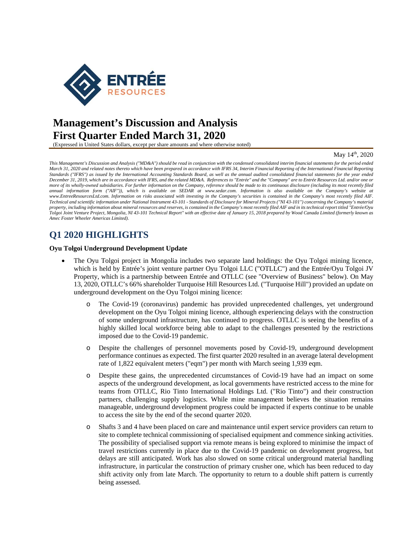

# **Management's Discussion and Analysis First Quarter Ended March 31, 2020**

(Expressed in United States dollars, except per share amounts and where otherwise noted)

#### May 14<sup>th</sup>, 2020

*This Management's Discussion and Analysis ("MD&A") should be read in conjunction with the condensed consolidated interim financial statements for the period ended March 31, 2020 and related notes thereto which have been prepared in accordance with IFRS 34, Interim Financial Reporting of the International Financial Reporting Standards ("IFRS") as issued by the International Accounting Standards Board, as well as the annual audited consolidated financial statements for the year ended December 31, 2019, which are in accordance with IFRS, and the related MD&A. References to "Entrée" and the "Company" are to Entrée Resources Ltd. and/or one or more of its wholly-owned subsidiaries. For further information on the Company, reference should be made to its continuous disclosure (including its most recently filed annual information form ("AIF")), which is available on SEDAR at www.sedar.com. Information is also available on the Company's website at www.EntreeResourcesLtd.com. Information on risks associated with investing in the Company's securities is contained in the Company's most recently filed AIF. Technical and scientific information under National Instrument 43-101 - Standards of Disclosure for Mineral Projects ("NI 43-101") concerning the Company's material property, including information about mineral resources and reserves, is contained in the Company's most recently filed AIF and in its technical report titled "Entrée/Oyu Tolgoi Joint Venture Project, Mongolia, NI 43-101 Technical Report" with an effective date of January 15, 2018 prepared by Wood Canada Limited (formerly known as Amec Foster Wheeler Americas Limited).* 

# **Q1 2020 HIGHLIGHTS**

### **Oyu Tolgoi Underground Development Update**

- The Oyu Tolgoi project in Mongolia includes two separate land holdings: the Oyu Tolgoi mining licence, which is held by Entrée's joint venture partner Oyu Tolgoi LLC ("OTLLC") and the Entrée/Oyu Tolgoi JV Property, which is a partnership between Entrée and OTLLC (see "Overview of Business" below). On May 13, 2020, OTLLC's 66% shareholder Turquoise Hill Resources Ltd. ("Turquoise Hill") provided an update on underground development on the Oyu Tolgoi mining licence:
	- o The Covid-19 (coronavirus) pandemic has provided unprecedented challenges, yet underground development on the Oyu Tolgoi mining licence, although experiencing delays with the construction of some underground infrastructure, has continued to progress. OTLLC is seeing the benefits of a highly skilled local workforce being able to adapt to the challenges presented by the restrictions imposed due to the Covid-19 pandemic.
	- o Despite the challenges of personnel movements posed by Covid-19, underground development performance continues as expected. The first quarter 2020 resulted in an average lateral development rate of 1,822 equivalent meters ("eqm") per month with March seeing 1,939 eqm.
	- o Despite these gains, the unprecedented circumstances of Covid-19 have had an impact on some aspects of the underground development, as local governments have restricted access to the mine for teams from OTLLC, Rio Tinto International Holdings Ltd. ("Rio Tinto") and their construction partners, challenging supply logistics. While mine management believes the situation remains manageable, underground development progress could be impacted if experts continue to be unable to access the site by the end of the second quarter 2020.
	- o Shafts 3 and 4 have been placed on care and maintenance until expert service providers can return to site to complete technical commissioning of specialised equipment and commence sinking activities. The possibility of specialised support via remote means is being explored to minimise the impact of travel restrictions currently in place due to the Covid-19 pandemic on development progress, but delays are still anticipated. Work has also slowed on some critical underground material handling infrastructure, in particular the construction of primary crusher one, which has been reduced to day shift activity only from late March. The opportunity to return to a double shift pattern is currently being assessed.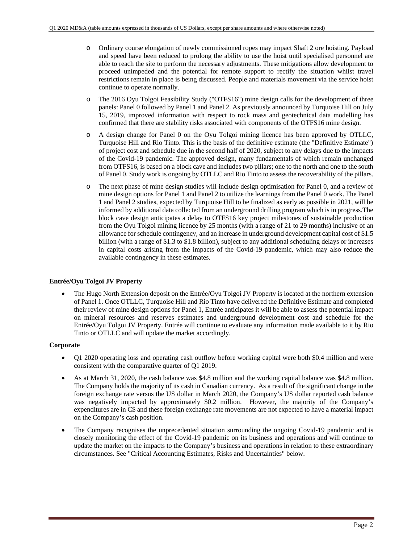- o Ordinary course elongation of newly commissioned ropes may impact Shaft 2 ore hoisting. Payload and speed have been reduced to prolong the ability to use the hoist until specialised personnel are able to reach the site to perform the necessary adjustments. These mitigations allow development to proceed unimpeded and the potential for remote support to rectify the situation whilst travel restrictions remain in place is being discussed. People and materials movement via the service hoist continue to operate normally.
- o The 2016 Oyu Tolgoi Feasibility Study ("OTFS16") mine design calls for the development of three panels: Panel 0 followed by Panel 1 and Panel 2. As previously announced by Turquoise Hill on July 15, 2019, improved information with respect to rock mass and geotechnical data modelling has confirmed that there are stability risks associated with components of the OTFS16 mine design.
- o A design change for Panel 0 on the Oyu Tolgoi mining licence has been approved by OTLLC, Turquoise Hill and Rio Tinto. This is the basis of the definitive estimate (the "Definitive Estimate") of project cost and schedule due in the second half of 2020, subject to any delays due to the impacts of the Covid-19 pandemic. The approved design, many fundamentals of which remain unchanged from OTFS16, is based on a block cave and includes two pillars; one to the north and one to the south of Panel 0. Study work is ongoing by OTLLC and Rio Tinto to assess the recoverability of the pillars.
- o The next phase of mine design studies will include design optimisation for Panel 0, and a review of mine design options for Panel 1 and Panel 2 to utilize the learnings from the Panel 0 work. The Panel 1 and Panel 2 studies, expected by Turquoise Hill to be finalized as early as possible in 2021, will be informed by additional data collected from an underground drilling program which is in progress.The block cave design anticipates a delay to OTFS16 key project milestones of sustainable production from the Oyu Tolgoi mining licence by 25 months (with a range of 21 to 29 months) inclusive of an allowance for schedule contingency, and an increase in underground development capital cost of \$1.5 billion (with a range of \$1.3 to \$1.8 billion), subject to any additional scheduling delays or increases in capital costs arising from the impacts of the Covid-19 pandemic, which may also reduce the available contingency in these estimates.

## **Entrée/Oyu Tolgoi JV Property**

 The Hugo North Extension deposit on the Entrée/Oyu Tolgoi JV Property is located at the northern extension of Panel 1. Once OTLLC, Turquoise Hill and Rio Tinto have delivered the Definitive Estimate and completed their review of mine design options for Panel 1, Entrée anticipates it will be able to assess the potential impact on mineral resources and reserves estimates and underground development cost and schedule for the Entrée/Oyu Tolgoi JV Property. Entrée will continue to evaluate any information made available to it by Rio Tinto or OTLLC and will update the market accordingly.

## **Corporate**

- Q1 2020 operating loss and operating cash outflow before working capital were both \$0.4 million and were consistent with the comparative quarter of Q1 2019.
- As at March 31, 2020, the cash balance was \$4.8 million and the working capital balance was \$4.8 million. The Company holds the majority of its cash in Canadian currency. As a result of the significant change in the foreign exchange rate versus the US dollar in March 2020, the Company's US dollar reported cash balance was negatively impacted by approximately \$0.2 million. However, the majority of the Company's expenditures are in C\$ and these foreign exchange rate movements are not expected to have a material impact on the Company's cash position.
- The Company recognises the unprecedented situation surrounding the ongoing Covid-19 pandemic and is closely monitoring the effect of the Covid-19 pandemic on its business and operations and will continue to update the market on the impacts to the Company's business and operations in relation to these extraordinary circumstances. See "Critical Accounting Estimates, Risks and Uncertainties" below.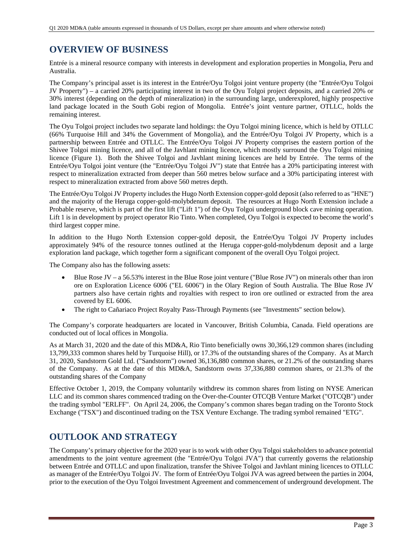# **OVERVIEW OF BUSINESS**

Entrée is a mineral resource company with interests in development and exploration properties in Mongolia, Peru and Australia.

The Company's principal asset is its interest in the Entrée/Oyu Tolgoi joint venture property (the "Entrée/Oyu Tolgoi JV Property") – a carried 20% participating interest in two of the Oyu Tolgoi project deposits, and a carried 20% or 30% interest (depending on the depth of mineralization) in the surrounding large, underexplored, highly prospective land package located in the South Gobi region of Mongolia. Entrée's joint venture partner, OTLLC, holds the remaining interest.

The Oyu Tolgoi project includes two separate land holdings: the Oyu Tolgoi mining licence, which is held by OTLLC (66% Turquoise Hill and 34% the Government of Mongolia), and the Entrée/Oyu Tolgoi JV Property, which is a partnership between Entrée and OTLLC. The Entrée/Oyu Tolgoi JV Property comprises the eastern portion of the Shivee Tolgoi mining licence, and all of the Javhlant mining licence, which mostly surround the Oyu Tolgoi mining licence (Figure 1). Both the Shivee Tolgoi and Javhlant mining licences are held by Entrée. The terms of the Entrée/Oyu Tolgoi joint venture (the "Entrée/Oyu Tolgoi JV") state that Entrée has a 20% participating interest with respect to mineralization extracted from deeper than 560 metres below surface and a 30% participating interest with respect to mineralization extracted from above 560 metres depth.

The Entrée/Oyu Tolgoi JV Property includes the Hugo North Extension copper-gold deposit (also referred to as "HNE") and the majority of the Heruga copper-gold-molybdenum deposit. The resources at Hugo North Extension include a Probable reserve, which is part of the first lift ("Lift 1") of the Oyu Tolgoi underground block cave mining operation. Lift 1 is in development by project operator Rio Tinto. When completed, Oyu Tolgoi is expected to become the world's third largest copper mine.

In addition to the Hugo North Extension copper-gold deposit, the Entrée/Oyu Tolgoi JV Property includes approximately 94% of the resource tonnes outlined at the Heruga copper-gold-molybdenum deposit and a large exploration land package, which together form a significant component of the overall Oyu Tolgoi project.

The Company also has the following assets:

- Blue Rose JV a 56.53% interest in the Blue Rose joint venture ("Blue Rose JV") on minerals other than iron ore on Exploration Licence 6006 ("EL 6006") in the Olary Region of South Australia. The Blue Rose JV partners also have certain rights and royalties with respect to iron ore outlined or extracted from the area covered by EL 6006.
- The right to Cañariaco Project Royalty Pass-Through Payments (see "Investments" section below).

The Company's corporate headquarters are located in Vancouver, British Columbia, Canada. Field operations are conducted out of local offices in Mongolia.

As at March 31, 2020 and the date of this MD&A, Rio Tinto beneficially owns 30,366,129 common shares (including 13,799,333 common shares held by Turquoise Hill), or 17.3% of the outstanding shares of the Company. As at March 31, 2020, Sandstorm Gold Ltd. ("Sandstorm") owned 36,136,880 common shares, or 21.2% of the outstanding shares of the Company. As at the date of this MD&A, Sandstorm owns 37,336,880 common shares, or 21.3% of the outstanding shares of the Company

Effective October 1, 2019, the Company voluntarily withdrew its common shares from listing on NYSE American LLC and its common shares commenced trading on the Over-the-Counter OTCQB Venture Market ("OTCQB") under the trading symbol "ERLFF". On April 24, 2006, the Company's common shares began trading on the Toronto Stock Exchange ("TSX") and discontinued trading on the TSX Venture Exchange. The trading symbol remained "ETG".

# **OUTLOOK AND STRATEGY**

The Company's primary objective for the 2020 year is to work with other Oyu Tolgoi stakeholders to advance potential amendments to the joint venture agreement (the "Entrée/Oyu Tolgoi JVA") that currently governs the relationship between Entrée and OTLLC and upon finalization, transfer the Shivee Tolgoi and Javhlant mining licences to OTLLC as manager of the Entrée/Oyu Tolgoi JV. The form of Entrée/Oyu Tolgoi JVA was agreed between the parties in 2004, prior to the execution of the Oyu Tolgoi Investment Agreement and commencement of underground development. The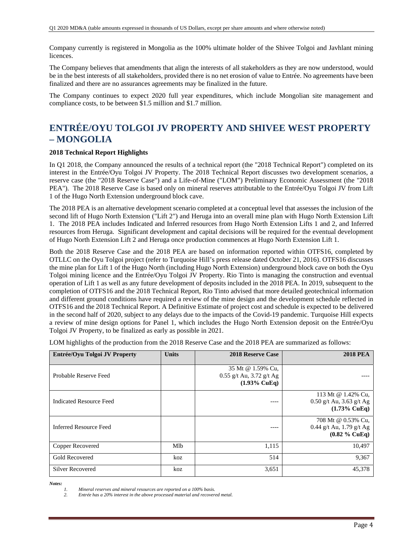Company currently is registered in Mongolia as the 100% ultimate holder of the Shivee Tolgoi and Javhlant mining licences.

The Company believes that amendments that align the interests of all stakeholders as they are now understood, would be in the best interests of all stakeholders, provided there is no net erosion of value to Entrée. No agreements have been finalized and there are no assurances agreements may be finalized in the future.

The Company continues to expect 2020 full year expenditures, which include Mongolian site management and compliance costs, to be between \$1.5 million and \$1.7 million.

# **ENTRÉE/OYU TOLGOI JV PROPERTY AND SHIVEE WEST PROPERTY – MONGOLIA**

## **2018 Technical Report Highlights**

In Q1 2018, the Company announced the results of a technical report (the "2018 Technical Report") completed on its interest in the Entrée/Oyu Tolgoi JV Property. The 2018 Technical Report discusses two development scenarios, a reserve case (the "2018 Reserve Case") and a Life-of-Mine ("LOM") Preliminary Economic Assessment (the "2018 PEA"). The 2018 Reserve Case is based only on mineral reserves attributable to the Entrée/Oyu Tolgoi JV from Lift 1 of the Hugo North Extension underground block cave.

The 2018 PEA is an alternative development scenario completed at a conceptual level that assesses the inclusion of the second lift of Hugo North Extension ("Lift 2") and Heruga into an overall mine plan with Hugo North Extension Lift 1. The 2018 PEA includes Indicated and Inferred resources from Hugo North Extension Lifts 1 and 2, and Inferred resources from Heruga. Significant development and capital decisions will be required for the eventual development of Hugo North Extension Lift 2 and Heruga once production commences at Hugo North Extension Lift 1.

Both the 2018 Reserve Case and the 2018 PEA are based on information reported within OTFS16, completed by OTLLC on the Oyu Tolgoi project (refer to Turquoise Hill's press release dated October 21, 2016). OTFS16 discusses the mine plan for Lift 1 of the Hugo North (including Hugo North Extension) underground block cave on both the Oyu Tolgoi mining licence and the Entrée/Oyu Tolgoi JV Property. Rio Tinto is managing the construction and eventual operation of Lift 1 as well as any future development of deposits included in the 2018 PEA. In 2019, subsequent to the completion of OTFS16 and the 2018 Technical Report, Rio Tinto advised that more detailed geotechnical information and different ground conditions have required a review of the mine design and the development schedule reflected in OTFS16 and the 2018 Technical Report. A Definitive Estimate of project cost and schedule is expected to be delivered in the second half of 2020, subject to any delays due to the impacts of the Covid-19 pandemic. Turquoise Hill expects a review of mine design options for Panel 1, which includes the Hugo North Extension deposit on the Entrée/Oyu Tolgoi JV Property, to be finalized as early as possible in 2021.

LOM highlights of the production from the 2018 Reserve Case and the 2018 PEA are summarized as follows:

| Entrée/Oyu Tolgoi JV Property | <b>Units</b> | <b>2018 Reserve Case</b>                                                   | <b>2018 PEA</b>                                                             |
|-------------------------------|--------------|----------------------------------------------------------------------------|-----------------------------------------------------------------------------|
| Probable Reserve Feed         |              | 35 Mt @ 1.59% Cu,<br>$0.55$ g/t Au, 3.72 g/t Ag<br>$(1.93\% \text{ CuEq})$ |                                                                             |
| Indicated Resource Feed       |              |                                                                            | 113 Mt @ 1.42% Cu.<br>$0.50$ g/t Au, 3.63 g/t Ag<br>$(1.73\% \text{ CuEq})$ |
| Inferred Resource Feed        |              |                                                                            | 708 Mt @ 0.53% Cu,<br>0.44 g/t Au, 1.79 g/t Ag<br>$(0.82 \%$ CuEq)          |
| Copper Recovered              | Mlb          | 1,115                                                                      | 10,497                                                                      |
| <b>Gold Recovered</b>         | koz          | 514                                                                        | 9,367                                                                       |
| <b>Silver Recovered</b>       | koz          | 3,651                                                                      | 45,378                                                                      |

*Notes:* 

*2. Entrée has a 20% interest in the above processed material and recovered metal.* 

*<sup>1.</sup> Mineral reserves and mineral resources are reported on a 100% basis.*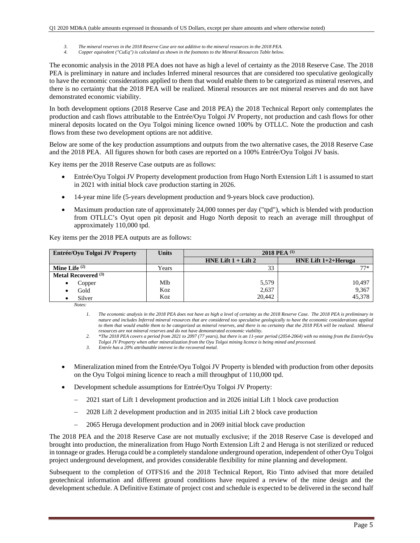- *3. The mineral reserves in the 2018 Reserve Case are not additive to the mineral resources in the 2018 PEA.*
- *4. Copper equivalent ("CuEq") is calculated as shown in the footnotes to the Mineral Resources Table below.*

The economic analysis in the 2018 PEA does not have as high a level of certainty as the 2018 Reserve Case. The 2018 PEA is preliminary in nature and includes Inferred mineral resources that are considered too speculative geologically to have the economic considerations applied to them that would enable them to be categorized as mineral reserves, and there is no certainty that the 2018 PEA will be realized. Mineral resources are not mineral reserves and do not have demonstrated economic viability.

In both development options (2018 Reserve Case and 2018 PEA) the 2018 Technical Report only contemplates the production and cash flows attributable to the Entrée/Oyu Tolgoi JV Property, not production and cash flows for other mineral deposits located on the Oyu Tolgoi mining licence owned 100% by OTLLC. Note the production and cash flows from these two development options are not additive.

Below are some of the key production assumptions and outputs from the two alternative cases, the 2018 Reserve Case and the 2018 PEA. All figures shown for both cases are reported on a 100% Entrée/Oyu Tolgoi JV basis.

Key items per the 2018 Reserve Case outputs are as follows:

- Entrée/Oyu Tolgoi JV Property development production from Hugo North Extension Lift 1 is assumed to start in 2021 with initial block cave production starting in 2026.
- 14-year mine life (5-years development production and 9-years block cave production).
- Maximum production rate of approximately 24,000 tonnes per day ("tpd"), which is blended with production from OTLLC's Oyut open pit deposit and Hugo North deposit to reach an average mill throughput of approximately 110,000 tpd.

Key items per the 2018 PEA outputs are as follows:

| Entrée/Oyu Tolgoi JV Property  | <b>Units</b> | 2018 PEA $^{(1)}$       |                        |  |  |  |
|--------------------------------|--------------|-------------------------|------------------------|--|--|--|
|                                |              | HNE Lift $1 +$ Lift $2$ | HNE Lift $1+2+$ Heruga |  |  |  |
| Mine Life $(2)$                | Years        | 33                      | $77*$                  |  |  |  |
| Metal Recovered <sup>(3)</sup> |              |                         |                        |  |  |  |
| Copper<br>٠                    | Mlb          | 5,579                   | 10,497                 |  |  |  |
| Gold                           | Koz          | 2,637                   | 9,367                  |  |  |  |
| Silver                         | Koz          | 20.442                  | 45,378                 |  |  |  |

*Notes:* 

*1. The economic analysis in the 2018 PEA does not have as high a level of certainty as the 2018 Reserve Case. The 2018 PEA is preliminary in nature and includes Inferred mineral resources that are considered too speculative geologically to have the economic considerations applied*  to them that would enable them to be categorized as mineral reserves, and there is no certainty that the 2018 PEA will be realized. Mineral *resources are not mineral reserves and do not have demonstrated economic viability.* 

*2. \*The 2018 PEA covers a period from 2021 to 2097 (77 years), but there is an 11-year period (2054-2064) with no mining from the Entrée/Oyu Tolgoi JV Property when other mineralization from the Oyu Tolgoi mining licence is being mined and processed.* 

*3. Entrée has a 20% attributable interest in the recovered metal.* 

- Mineralization mined from the Entrée/Oyu Tolgoi JV Property is blended with production from other deposits on the Oyu Tolgoi mining licence to reach a mill throughput of 110,000 tpd.
- Development schedule assumptions for Entrée/Oyu Tolgoi JV Property:
	- 2021 start of Lift 1 development production and in 2026 initial Lift 1 block cave production
	- 2028 Lift 2 development production and in 2035 initial Lift 2 block cave production
	- 2065 Heruga development production and in 2069 initial block cave production

The 2018 PEA and the 2018 Reserve Case are not mutually exclusive; if the 2018 Reserve Case is developed and brought into production, the mineralization from Hugo North Extension Lift 2 and Heruga is not sterilized or reduced in tonnage or grades. Heruga could be a completely standalone underground operation, independent of other Oyu Tolgoi project underground development, and provides considerable flexibility for mine planning and development.

Subsequent to the completion of OTFS16 and the 2018 Technical Report, Rio Tinto advised that more detailed geotechnical information and different ground conditions have required a review of the mine design and the development schedule. A Definitive Estimate of project cost and schedule is expected to be delivered in the second half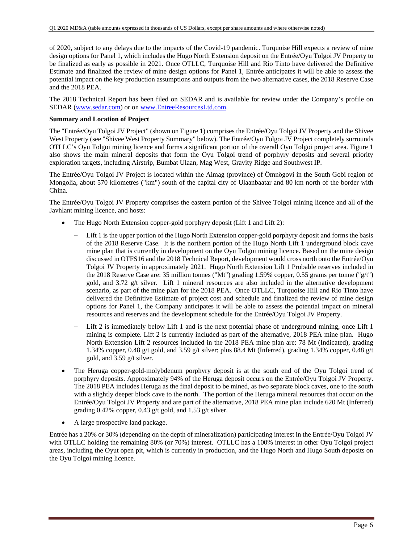of 2020, subject to any delays due to the impacts of the Covid-19 pandemic. Turquoise Hill expects a review of mine design options for Panel 1, which includes the Hugo North Extension deposit on the Entrée/Oyu Tolgoi JV Property to be finalized as early as possible in 2021. Once OTLLC, Turquoise Hill and Rio Tinto have delivered the Definitive Estimate and finalized the review of mine design options for Panel 1, Entrée anticipates it will be able to assess the potential impact on the key production assumptions and outputs from the two alternative cases, the 2018 Reserve Case and the 2018 PEA.

The 2018 Technical Report has been filed on SEDAR and is available for review under the Company's profile on SEDAR (www.sedar.com) or on www.EntreeResourcesLtd.com.

## **Summary and Location of Project**

The "Entrée/Oyu Tolgoi JV Project" (shown on Figure 1) comprises the Entrée/Oyu Tolgoi JV Property and the Shivee West Property (see "Shivee West Property Summary" below). The Entrée/Oyu Tolgoi JV Project completely surrounds OTLLC's Oyu Tolgoi mining licence and forms a significant portion of the overall Oyu Tolgoi project area. Figure 1 also shows the main mineral deposits that form the Oyu Tolgoi trend of porphyry deposits and several priority exploration targets, including Airstrip, Bumbat Ulaan, Mag West, Gravity Ridge and Southwest IP.

The Entrée/Oyu Tolgoi JV Project is located within the Aimag (province) of Ömnögovi in the South Gobi region of Mongolia, about 570 kilometres ("km") south of the capital city of Ulaanbaatar and 80 km north of the border with China.

The Entrée/Oyu Tolgoi JV Property comprises the eastern portion of the Shivee Tolgoi mining licence and all of the Javhlant mining licence, and hosts:

- The Hugo North Extension copper-gold porphyry deposit (Lift 1 and Lift 2):
	- Lift 1 is the upper portion of the Hugo North Extension copper-gold porphyry deposit and forms the basis of the 2018 Reserve Case. It is the northern portion of the Hugo North Lift 1 underground block cave mine plan that is currently in development on the Oyu Tolgoi mining licence. Based on the mine design discussed in OTFS16 and the 2018 Technical Report, development would cross north onto the Entrée/Oyu Tolgoi JV Property in approximately 2021. Hugo North Extension Lift 1 Probable reserves included in the 2018 Reserve Case are: 35 million tonnes ("Mt") grading 1.59% copper, 0.55 grams per tonne ("g/t") gold, and 3.72 g/t silver. Lift 1 mineral resources are also included in the alternative development scenario, as part of the mine plan for the 2018 PEA. Once OTLLC, Turquoise Hill and Rio Tinto have delivered the Definitive Estimate of project cost and schedule and finalized the review of mine design options for Panel 1, the Company anticipates it will be able to assess the potential impact on mineral resources and reserves and the development schedule for the Entrée/Oyu Tolgoi JV Property.
	- Lift 2 is immediately below Lift 1 and is the next potential phase of underground mining, once Lift 1 mining is complete. Lift 2 is currently included as part of the alternative, 2018 PEA mine plan. Hugo North Extension Lift 2 resources included in the 2018 PEA mine plan are: 78 Mt (Indicated), grading 1.34% copper, 0.48 g/t gold, and 3.59 g/t silver; plus 88.4 Mt (Inferred), grading 1.34% copper, 0.48 g/t gold, and 3.59 g/t silver.
- The Heruga copper-gold-molybdenum porphyry deposit is at the south end of the Oyu Tolgoi trend of porphyry deposits. Approximately 94% of the Heruga deposit occurs on the Entrée/Oyu Tolgoi JV Property. The 2018 PEA includes Heruga as the final deposit to be mined, as two separate block caves, one to the south with a slightly deeper block cave to the north. The portion of the Heruga mineral resources that occur on the Entrée/Oyu Tolgoi JV Property and are part of the alternative, 2018 PEA mine plan include 620 Mt (Inferred) grading 0.42% copper, 0.43 g/t gold, and 1.53 g/t silver.
- A large prospective land package.

Entrée has a 20% or 30% (depending on the depth of mineralization) participating interest in the Entrée/Oyu Tolgoi JV with OTLLC holding the remaining 80% (or 70%) interest. OTLLC has a 100% interest in other Oyu Tolgoi project areas, including the Oyut open pit, which is currently in production, and the Hugo North and Hugo South deposits on the Oyu Tolgoi mining licence.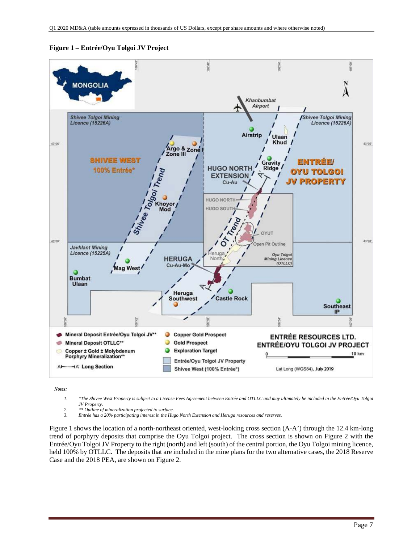

**Figure 1 – Entrée/Oyu Tolgoi JV Project** 

*Notes:* 

- *1. \*The Shivee West Property is subject to a License Fees Agreement between Entrée and OTLLC and may ultimately be included in the Entrée/Oyu Tolgoi JV Property.*
- *2. \*\* Outline of mineralization projected to surface.*
- *3. Entrée has a 20% participating interest in the Hugo North Extension and Heruga resources and reserves.*

Figure 1 shows the location of a north-northeast oriented, west-looking cross section (A-A') through the 12.4 km-long trend of porphyry deposits that comprise the Oyu Tolgoi project. The cross section is shown on Figure 2 with the Entrée/Oyu Tolgoi JV Property to the right (north) and left (south) of the central portion, the Oyu Tolgoi mining licence, held 100% by OTLLC. The deposits that are included in the mine plans for the two alternative cases, the 2018 Reserve Case and the 2018 PEA, are shown on Figure 2.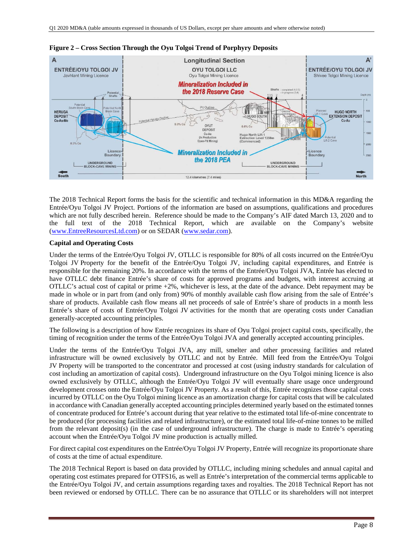

**Figure 2 – Cross Section Through the Oyu Tolgoi Trend of Porphyry Deposits** 

The 2018 Technical Report forms the basis for the scientific and technical information in this MD&A regarding the Entrée/Oyu Tolgoi JV Project. Portions of the information are based on assumptions, qualifications and procedures which are not fully described herein. Reference should be made to the Company's AIF dated March 13, 2020 and to the full text of the 2018 Technical Report, which are available on the Company's website (www.EntreeResourcesLtd.com) or on SEDAR (www.sedar.com).

## **Capital and Operating Costs**

Under the terms of the Entrée/Oyu Tolgoi JV, OTLLC is responsible for 80% of all costs incurred on the Entrée/Oyu Tolgoi JV Property for the benefit of the Entrée/Oyu Tolgoi JV, including capital expenditures, and Entrée is responsible for the remaining 20%. In accordance with the terms of the Entrée/Oyu Tolgoi JVA, Entrée has elected to have OTLLC debt finance Entrée's share of costs for approved programs and budgets, with interest accruing at OTLLC's actual cost of capital or prime +2%, whichever is less, at the date of the advance. Debt repayment may be made in whole or in part from (and only from) 90% of monthly available cash flow arising from the sale of Entrée's share of products. Available cash flow means all net proceeds of sale of Entrée's share of products in a month less Entrée's share of costs of Entrée/Oyu Tolgoi JV activities for the month that are operating costs under Canadian generally-accepted accounting principles.

The following is a description of how Entrée recognizes its share of Oyu Tolgoi project capital costs, specifically, the timing of recognition under the terms of the Entrée/Oyu Tolgoi JVA and generally accepted accounting principles.

Under the terms of the Entrée/Oyu Tolgoi JVA, any mill, smelter and other processing facilities and related infrastructure will be owned exclusively by OTLLC and not by Entrée. Mill feed from the Entrée/Oyu Tolgoi JV Property will be transported to the concentrator and processed at cost (using industry standards for calculation of cost including an amortization of capital costs). Underground infrastructure on the Oyu Tolgoi mining licence is also owned exclusively by OTLLC, although the Entrée/Oyu Tolgoi JV will eventually share usage once underground development crosses onto the Entrée/Oyu Tolgoi JV Property. As a result of this, Entrée recognizes those capital costs incurred by OTLLC on the Oyu Tolgoi mining licence as an amortization charge for capital costs that will be calculated in accordance with Canadian generally accepted accounting principles determined yearly based on the estimated tonnes of concentrate produced for Entrée's account during that year relative to the estimated total life-of-mine concentrate to be produced (for processing facilities and related infrastructure), or the estimated total life-of-mine tonnes to be milled from the relevant deposit(s) (in the case of underground infrastructure). The charge is made to Entrée's operating account when the Entrée/Oyu Tolgoi JV mine production is actually milled.

For direct capital cost expenditures on the Entrée/Oyu Tolgoi JV Property, Entrée will recognize its proportionate share of costs at the time of actual expenditure.

The 2018 Technical Report is based on data provided by OTLLC, including mining schedules and annual capital and operating cost estimates prepared for OTFS16, as well as Entrée's interpretation of the commercial terms applicable to the Entrée/Oyu Tolgoi JV, and certain assumptions regarding taxes and royalties. The 2018 Technical Report has not been reviewed or endorsed by OTLLC. There can be no assurance that OTLLC or its shareholders will not interpret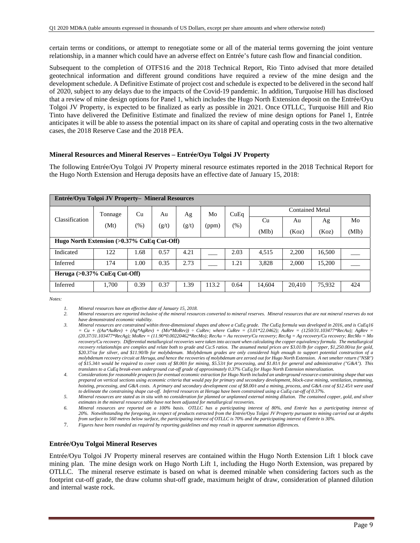certain terms or conditions, or attempt to renegotiate some or all of the material terms governing the joint venture relationship, in a manner which could have an adverse effect on Entrée's future cash flow and financial condition.

Subsequent to the completion of OTFS16 and the 2018 Technical Report, Rio Tinto advised that more detailed geotechnical information and different ground conditions have required a review of the mine design and the development schedule. A Definitive Estimate of project cost and schedule is expected to be delivered in the second half of 2020, subject to any delays due to the impacts of the Covid-19 pandemic. In addition, Turquoise Hill has disclosed that a review of mine design options for Panel 1, which includes the Hugo North Extension deposit on the Entrée/Oyu Tolgoi JV Property, is expected to be finalized as early as possible in 2021. Once OTLLC, Turquoise Hill and Rio Tinto have delivered the Definitive Estimate and finalized the review of mine design options for Panel 1, Entrée anticipates it will be able to assess the potential impact on its share of capital and operating costs in the two alternative cases, the 2018 Reserve Case and the 2018 PEA.

## **Mineral Resources and Mineral Reserves – Entrée/Oyu Tolgoi JV Property**

The following Entrée/Oyu Tolgoi JV Property mineral resource estimates reported in the 2018 Technical Report for the Hugo North Extension and Heruga deposits have an effective date of January 15, 2018:

|                                               | Entrée/Oyu Tolgoi JV Property- Mineral Resources |        |                        |       |       |        |        |        |        |     |
|-----------------------------------------------|--------------------------------------------------|--------|------------------------|-------|-------|--------|--------|--------|--------|-----|
| Cu<br>Tonnage<br>Au<br>Ag                     | Mo                                               | CuEq   | <b>Contained Metal</b> |       |       |        |        |        |        |     |
| Classification                                | (Mt)                                             | $(\%)$ | (g/t)                  | (g/t) | (ppm) | $(\%)$ | Cu     | Au     | Ag     | Mo  |
|                                               |                                                  |        |                        |       |       | (Mlb)  | (Koz)  | (Koz)  | (Mlb)  |     |
| Hugo North Extension $(>0.37\%$ CuEq Cut-Off) |                                                  |        |                        |       |       |        |        |        |        |     |
| Indicated                                     | 122                                              | 1.68   | 0.57                   | 4.21  |       | 2.03   | 4,515  | 2,200  | 16,500 |     |
| Inferred                                      | 174                                              | 1.00   | 0.35                   | 2.73  |       | 1.21   | 3,828  | 2,000  | 15,200 |     |
|                                               | Heruga $(>0.37\%$ CuEq Cut-Off)                  |        |                        |       |       |        |        |        |        |     |
| Inferred                                      | 1,700                                            | 0.39   | 0.37                   | 1.39  | 113.2 | 0.64   | 14,604 | 20,410 | 75,932 | 424 |

*Notes:* 

*5. Mineral resources are stated as in situ with no consideration for planned or unplanned external mining dilution. The contained copper, gold, and silver estimates in the mineral resource table have not been adjusted for metallurgical recoveries.* 

### **Entrée/Oyu Tolgoi Mineral Reserves**

Entrée/Oyu Tolgoi JV Property mineral reserves are contained within the Hugo North Extension Lift 1 block cave mining plan. The mine design work on Hugo North Lift 1, including the Hugo North Extension, was prepared by OTLLC. The mineral reserve estimate is based on what is deemed minable when considering factors such as the footprint cut-off grade, the draw column shut-off grade, maximum height of draw, consideration of planned dilution and internal waste rock.

*<sup>1.</sup> Mineral resources have an effective date of January 15, 2018.* 

*<sup>2.</sup> Mineral resources are reported inclusive of the mineral resources converted to mineral reserves. Mineral resources that are not mineral reserves do not have demonstrated economic viability.* 

*<sup>3.</sup> Mineral resources are constrained within three-dimensional shapes and above a CuEq grade. The CuEq formula was developed in 2016, and is CuEq16*   $= Cu + ((Au*AuRev) + (Ag*AgRev) + (Mo*MoRev)) \div CuRev;$  where CuRev = (3.01\*22.0462); AuRev = (1250/31.103477\*RecAu); AgRev = *(20.37/31.103477\*RecAg); MoRev = (11.90\*0.00220462\*RecMo); RecAu = Au recovery/Cu recovery; RecAg = Ag recovery/Cu recovery; RecMo = Mo*  recovery/Cu recovery. Differential metallurgical recoveries were taken into account when calculating the copper equivalency formula. The metallurgical *recovery relationships are complex and relate both to grade and Cu:S ratios. The assumed metal prices are \$3.01/lb for copper, \$1,250.00/oz for gold, \$20.37/oz for silver, and \$11.90/lb for molybdenum. Molybdenum grades are only considered high enough to support potential construction of a molybdenum recovery circuit at Heruga, and hence the recoveries of molybdenum are zeroed out for Hugo North Extension. A net smelter return ("NSR") of \$15.34/t would be required to cover costs of \$8.00/t for mining, \$5.53/t for processing, and \$1.81/t for general and administrative ("G&A"). This translates to a CuEq break-even underground cut-off grade of approximately 0.37% CuEq for Hugo North Extension mineralization.* 

*<sup>4.</sup> Considerations for reasonable prospects for eventual economic extraction for Hugo North included an underground resource-constraining shape that was prepared on vertical sections using economic criteria that would pay for primary and secondary development, block-cave mining, ventilation, tramming, hoisting, processing, and G&A costs. A primary and secondary development cost of \$8.00/t and a mining, process, and G&A cost of \$12.45/t were used to delineate the constraining shape cut-off. Inferred resources at Heruga have been constrained using a CuEq cut-off of 0.37%.*

*<sup>6.</sup> Mineral resources are reported on a 100% basis. OTLLC has a participating interest of 80%, and Entrée has a participating interest of 20%. Notwithstanding the foregoing, in respect of products extracted from the Entrée/Oyu Tolgoi JV Property pursuant to mining carried out at depths from surface to 560 metres below surface, the participating interest of OTLLC is 70% and the participating interest of Entrée is 30%.* 

<sup>7.</sup> *Figures have been rounded as required by reporting guidelines and may result in apparent summation differences.*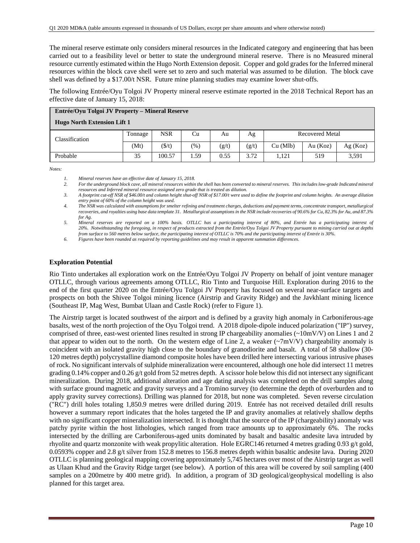The mineral reserve estimate only considers mineral resources in the Indicated category and engineering that has been carried out to a feasibility level or better to state the underground mineral reserve. There is no Measured mineral resource currently estimated within the Hugo North Extension deposit. Copper and gold grades for the Inferred mineral resources within the block cave shell were set to zero and such material was assumed to be dilution. The block cave shell was defined by a \$17.00/t NSR. Future mine planning studies may examine lower shut-offs.

The following Entrée/Oyu Tolgoi JV Property mineral reserve estimate reported in the 2018 Technical Report has an effective date of January 15, 2018:

| Entrée/Oyu Tolgoi JV Property – Mineral Reserve |         |                 |        |       |       |                        |            |         |  |
|-------------------------------------------------|---------|-----------------|--------|-------|-------|------------------------|------------|---------|--|
| <b>Hugo North Extension Lift 1</b>              |         |                 |        |       |       |                        |            |         |  |
| Classification                                  | Tonnage | <b>NSR</b>      | Cu     | Au    | Ag    | <b>Recovered Metal</b> |            |         |  |
|                                                 | (Mt)    | $(\frac{f}{f})$ | $(\%)$ | (g/t) | (g/t) | Cu (Mlb)               | Au $(Koz)$ | Ag(Koz) |  |
| Probable                                        | 35      | 100.57          | .59    | 0.55  | 3.72  | 1.121                  | 519        | 3,591   |  |

*Notes:* 

*2. For the underground block cave, all mineral resources within the shell has been converted to mineral reserves. This includes low-grade Indicated mineral resources and Inferred mineral resource assigned zero grade that is treated as dilution.* 

*3. A footprint cut-off NSR of \$46.00/t and column height shut-off NSR of \$17.00/t were used to define the footprint and column heights. An average dilution entry point of 60% of the column height was used.* 

*4. The NSR was calculated with assumptions for smelter refining and treatment charges, deductions and payment terms, concentrate transport, metallurgical recoveries, and royalties using base data template 31. Metallurgical assumptions in the NSR include recoveries of 90.6% for Cu, 82.3% for Au, and 87.3% for Ag.* 

*5. Mineral reserves are reported on a 100% basis. OTLLC has a participating interest of 80%, and Entrée has a participating interest of 20%. Notwithstanding the foregoing, in respect of products extracted from the Entrée/Oyu Tolgoi JV Property pursuant to mining carried out at depths from surface to 560 metres below surface, the participating interest of OTLLC is 70% and the participating interest of Entrée is 30%.* 

*6. Figures have been rounded as required by reporting guidelines and may result in apparent summation differences.* 

### **Exploration Potential**

Rio Tinto undertakes all exploration work on the Entrée/Oyu Tolgoi JV Property on behalf of joint venture manager OTLLC, through various agreements among OTLLC, Rio Tinto and Turquoise Hill. Exploration during 2016 to the end of the first quarter 2020 on the Entrée/Oyu Tolgoi JV Property has focused on several near-surface targets and prospects on both the Shivee Tolgoi mining licence (Airstrip and Gravity Ridge) and the Javkhlant mining licence (Southeast IP, Mag West, Bumbat Ulaan and Castle Rock) (refer to Figure 1).

The Airstrip target is located southwest of the airport and is defined by a gravity high anomaly in Carboniferous-age basalts, west of the north projection of the Oyu Tolgoi trend. A 2018 dipole-dipole induced polarization ("IP") survey, comprised of three, east-west oriented lines resulted in strong IP chargeability anomalies (~10mV/V) on Lines 1 and 2 that appear to widen out to the north. On the western edge of Line 2, a weaker  $(\sim 7 \text{mV/V})$  chargeability anomaly is coincident with an isolated gravity high close to the boundary of granodiorite and basalt. A total of 58 shallow (30- 120 metres depth) polycrystalline diamond composite holes have been drilled here intersecting various intrusive phases of rock. No significant intervals of sulphide mineralization were encountered, although one hole did intersect 11 metres grading 0.14% copper and 0.26 g/t gold from 52 metres depth. A scissor hole below this did not intersect any significant mineralization. During 2018, additional alteration and age dating analysis was completed on the drill samples along with surface ground magnetic and gravity surveys and a Tromino survey (to determine the depth of overburden and to apply gravity survey corrections). Drilling was planned for 2018, but none was completed. Seven reverse circulation ("RC") drill holes totaling 1,850.9 metres were drilled during 2019. Entrée has not received detailed drill results however a summary report indicates that the holes targeted the IP and gravity anomalies at relatively shallow depths with no significant copper mineralization intersected. It is thought that the source of the IP (chargeability) anomaly was patchy pyrite within the host lithologies, which ranged from trace amounts up to approximately 6%. The rocks intersected by the drilling are Carboniferous-aged units dominated by basalt and basaltic andesite lava intruded by rhyolite and quartz monzonite with weak propylitic alteration. Hole EGRC146 returned 4 metres grading 0.93 g/t gold, 0.0593% copper and 2.8 g/t silver from 152.8 metres to 156.8 metres depth within basaltic andesite lava. During 2020 OTLLC is planning geological mapping covering approximately 5,745 hectares over most of the Airstrip target as well as Ulaan Khud and the Gravity Ridge target (see below). A portion of this area will be covered by soil sampling (400 samples on a 200metre by 400 metre grid). In addition, a program of 3D geological/geophysical modelling is also planned for this target area.

*<sup>1.</sup> Mineral reserves have an effective date of January 15, 2018.*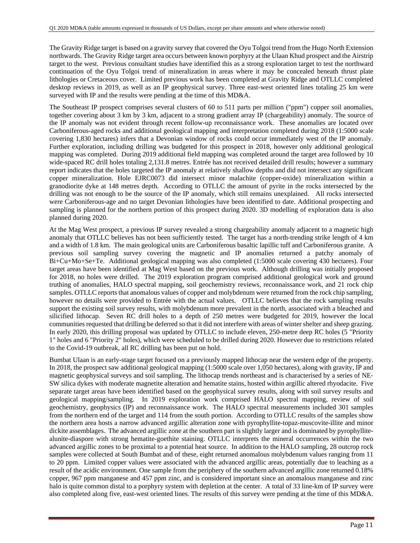The Gravity Ridge target is based on a gravity survey that covered the Oyu Tolgoi trend from the Hugo North Extension northwards. The Gravity Ridge target area occurs between known porphyry at the Ulaan Khud prospect and the Airstrip target to the west. Previous consultant studies have identified this as a strong exploration target to test the northward continuation of the Oyu Tolgoi trend of mineralization in areas where it may be concealed beneath thrust plate lithologies or Cretaceous cover. Limited previous work has been completed at Gravity Ridge and OTLLC completed desktop reviews in 2019, as well as an IP geophysical survey. Three east-west oriented lines totaling 25 km were surveyed with IP and the results were pending at the time of this MD&A.

The Southeast IP prospect comprises several clusters of 60 to 511 parts per million ("ppm") copper soil anomalies, together covering about 3 km by 3 km, adjacent to a strong gradient array IP (chargeability) anomaly. The source of the IP anomaly was not evident through recent follow-up reconnaissance work. These anomalies are located over Carboniferous-aged rocks and additional geological mapping and interpretation completed during 2018 (1:5000 scale covering 1,830 hectares) infers that a Devonian window of rocks could occur immediately west of the IP anomaly. Further exploration, including drilling was budgeted for this prospect in 2018, however only additional geological mapping was completed. During 2019 additional field mapping was completed around the target area followed by 10 wide-spaced RC drill holes totaling 2,131.8 metres. Entrée has not received detailed drill results; however a summary report indicates that the holes targeted the IP anomaly at relatively shallow depths and did not intersect any significant copper mineralization. Hole EJRC0073 did intersect minor malachite (copper-oxide) mineralization within a granodiorite dyke at 148 metres depth. According to OTLLC the amount of pyrite in the rocks intersected by the drilling was not enough to be the source of the IP anomaly, which still remains unexplained. All rocks intersected were Carboniferous-age and no target Devonian lithologies have been identified to date. Additional prospecting and sampling is planned for the northern portion of this prospect during 2020. 3D modelling of exploration data is also planned during 2020.

At the Mag West prospect, a previous IP survey revealed a strong chargeability anomaly adjacent to a magnetic high anomaly that OTLLC believes has not been sufficiently tested. The target has a north-trending strike length of 4 km and a width of 1.8 km. The main geological units are Carboniferous basaltic lapillic tuff and Carboniferous granite. A previous soil sampling survey covering the magnetic and IP anomalies returned a patchy anomaly of Bi+Cu+Mo+Se+Te. Additional geological mapping was also completed (1:5000 scale covering 430 hectares). Four target areas have been identified at Mag West based on the previous work. Although drilling was initially proposed for 2018, no holes were drilled. The 2019 exploration program comprised additional geological work and ground truthing of anomalies, HALO spectral mapping, soil geochemistry reviews, reconnaissance work, and 21 rock chip samples. OTLLC reports that anomalous values of copper and molybdenum were returned from the rock chip sampling, however no details were provided to Entrée with the actual values. OTLLC believes that the rock sampling results support the existing soil survey results, with molybdenum more prevalent in the north, associated with a bleached and silicified lithocap. Seven RC drill holes to a depth of 250 metres were budgeted for 2019, however the local communities requested that drilling be deferred so that it did not interfere with areas of winter shelter and sheep grazing. In early 2020, this drilling proposal was updated by OTLLC to include eleven, 250-metre deep RC holes (5 "Priority 1" holes and 6 "Priority 2" holes), which were scheduled to be drilled during 2020. However due to restrictions related to the Covid-19 outbreak, all RC drilling has been put on hold.

Bumbat Ulaan is an early-stage target focused on a previously mapped lithocap near the western edge of the property. In 2018, the prospect saw additional geological mapping (1:5000 scale over 1,050 hectares), along with gravity, IP and magnetic geophysical surveys and soil sampling. The lithocap trends northeast and is characterised by a series of NE-SW silica dykes with moderate magnetite alteration and hematite stains, hosted within argillic altered rhyodacite. Five separate target areas have been identified based on the geophysical survey results, along with soil survey results and geological mapping/sampling. In 2019 exploration work comprised HALO spectral mapping, review of soil geochemistry, geophysics (IP) and reconnaissance work. The HALO spectral measurements included 301 samples from the northern end of the target and 114 from the south portion. According to OTLLC results of the samples show the northern area hosts a narrow advanced argillic alteration zone with pyrophyllite-topaz-muscovite-illite and minor dickite assemblages. The advanced argillic zone at the southern part is slightly larger and is dominated by pyrophyllitealunite-diaspore with strong hematite-goethite staining. OTLLC interprets the mineral occurrences within the two advanced argillic zones to be proximal to a potential heat source. In addition to the HALO sampling, 28 outcrop rock samples were collected at South Bumbat and of these, eight returned anomalous molybdenum values ranging from 11 to 20 ppm. Limited copper values were associated with the advanced argillic areas, potentially due to leaching as a result of the acidic environment. One sample from the periphery of the southern advanced argillic zone returned 0.18% copper, 967 ppm manganese and 457 ppm zinc, and is considered important since an anomalous manganese and zinc halo is quite common distal to a porphyry system with depletion at the center. A total of 33 line-km of IP survey were also completed along five, east-west oriented lines. The results of this survey were pending at the time of this MD&A.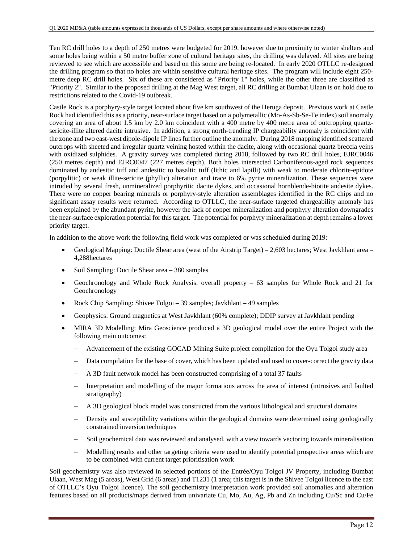Ten RC drill holes to a depth of 250 metres were budgeted for 2019, however due to proximity to winter shelters and some holes being within a 50 metre buffer zone of cultural heritage sites, the drilling was delayed. All sites are being reviewed to see which are accessible and based on this some are being re-located. In early 2020 OTLLC re-designed the drilling program so that no holes are within sensitive cultural heritage sites. The program will include eight 250 metre deep RC drill holes. Six of these are considered as "Priority 1" holes, while the other three are classified as "Priority 2". Similar to the proposed drilling at the Mag West target, all RC drilling at Bumbat Ulaan is on hold due to restrictions related to the Covid-19 outbreak.

Castle Rock is a porphyry-style target located about five km southwest of the Heruga deposit. Previous work at Castle Rock had identified this as a priority, near-surface target based on a polymetallic (Mo-As-Sb-Se-Te index) soil anomaly covering an area of about 1.5 km by 2.0 km coincident with a 400 metre by 400 metre area of outcropping quartzsericite-illite altered dacite intrusive. In addition, a strong north-trending IP chargeability anomaly is coincident with the zone and two east-west dipole-dipole IP lines further outline the anomaly. During 2018 mapping identified scattered outcrops with sheeted and irregular quartz veining hosted within the dacite, along with occasional quartz breccia veins with oxidized sulphides. A gravity survey was completed during 2018, followed by two RC drill holes, EJRC0046 (250 metres depth) and EJRC0047 (227 metres depth). Both holes intersected Carboniferous-aged rock sequences dominated by andesitic tuff and andesitic to basaltic tuff (lithic and lapilli) with weak to moderate chlorite-epidote (porpylitic) or weak illite-sericite (phyllic) alteration and trace to 6% pyrite mineralization. These sequences were intruded by several fresh, unmineralized porphyritic dacite dykes, and occasional hornblende-biotite andesite dykes. There were no copper bearing minerals or porphyry-style alteration assemblages identified in the RC chips and no significant assay results were returned. According to OTLLC, the near-surface targeted chargeability anomaly has been explained by the abundant pyrite, however the lack of copper mineralization and porphyry alteration downgrades the near-surface exploration potential for this target. The potential for porphyry mineralization at depth remains a lower priority target.

In addition to the above work the following field work was completed or was scheduled during 2019:

- Geological Mapping: Ductile Shear area (west of the Airstrip Target) 2,603 hectares; West Javkhlant area 4,288hectares
- Soil Sampling: Ductile Shear area 380 samples
- Geochronology and Whole Rock Analysis: overall property 63 samples for Whole Rock and 21 for Geochronology
- Rock Chip Sampling: Shivee Tolgoi 39 samples; Javkhlant 49 samples
- Geophysics: Ground magnetics at West Javkhlant (60% complete); DDIP survey at Javkhlant pending
- MIRA 3D Modelling: Mira Geoscience produced a 3D geological model over the entire Project with the following main outcomes:
	- Advancement of the existing GOCAD Mining Suite project compilation for the Oyu Tolgoi study area
	- Data compilation for the base of cover, which has been updated and used to cover-correct the gravity data
	- A 3D fault network model has been constructed comprising of a total 37 faults
	- Interpretation and modelling of the major formations across the area of interest (intrusives and faulted stratigraphy)
	- A 3D geological block model was constructed from the various lithological and structural domains
	- Density and susceptibility variations within the geological domains were determined using geologically constrained inversion techniques
	- Soil geochemical data was reviewed and analysed, with a view towards vectoring towards mineralisation
	- Modelling results and other targeting criteria were used to identify potential prospective areas which are to be combined with current target prioritisation work

Soil geochemistry was also reviewed in selected portions of the Entrée/Oyu Tolgoi JV Property, including Bumbat Ulaan, West Mag (5 areas), West Grid (6 areas) and T1231 (1 area; this target is in the Shivee Tolgoi licence to the east of OTLLC's Oyu Tolgoi licence). The soil geochemistry interpretation work provided soil anomalies and alteration features based on all products/maps derived from univariate Cu, Mo, Au, Ag, Pb and Zn including Cu/Sc and Cu/Fe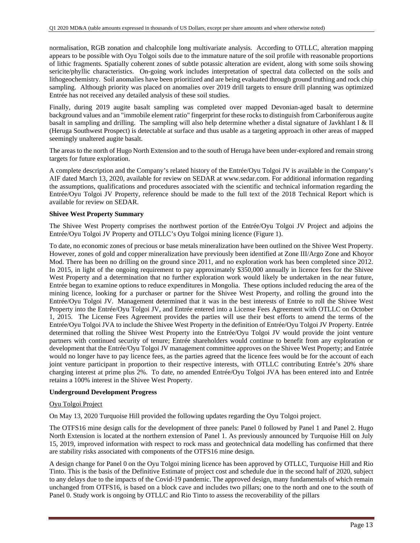normalisation, RGB zonation and chalcophile long multivariate analysis. According to OTLLC, alteration mapping appears to be possible with Oyu Tolgoi soils due to the immature nature of the soil profile with reasonable proportions of lithic fragments. Spatially coherent zones of subtle potassic alteration are evident, along with some soils showing sericite/phyllic characteristics. On-going work includes interpretation of spectral data collected on the soils and lithogeochemistry. Soil anomalies have been prioritized and are being evaluated through ground truthing and rock chip sampling. Although priority was placed on anomalies over 2019 drill targets to ensure drill planning was optimized Entrée has not received any detailed analysis of these soil studies.

Finally, during 2019 augite basalt sampling was completed over mapped Devonian-aged basalt to determine background values and an "immobile element ratio" fingerprint for these rocks to distinguish from Carboniferous augite basalt in sampling and drilling. The sampling will also help determine whether a distal signature of Javkhlant I & II (Heruga Southwest Prospect) is detectable at surface and thus usable as a targeting approach in other areas of mapped seemingly unaltered augite basalt.

The areas to the north of Hugo North Extension and to the south of Heruga have been under-explored and remain strong targets for future exploration.

A complete description and the Company's related history of the Entrée/Oyu Tolgoi JV is available in the Company's AIF dated March 13, 2020, available for review on SEDAR at www.sedar.com. For additional information regarding the assumptions, qualifications and procedures associated with the scientific and technical information regarding the Entrée/Oyu Tolgoi JV Property, reference should be made to the full text of the 2018 Technical Report which is available for review on SEDAR.

### **Shivee West Property Summary**

The Shivee West Property comprises the northwest portion of the Entrée/Oyu Tolgoi JV Project and adjoins the Entrée/Oyu Tolgoi JV Property and OTLLC's Oyu Tolgoi mining licence (Figure 1).

To date, no economic zones of precious or base metals mineralization have been outlined on the Shivee West Property. However, zones of gold and copper mineralization have previously been identified at Zone III/Argo Zone and Khoyor Mod. There has been no drilling on the ground since 2011, and no exploration work has been completed since 2012. In 2015, in light of the ongoing requirement to pay approximately \$350,000 annually in licence fees for the Shivee West Property and a determination that no further exploration work would likely be undertaken in the near future, Entrée began to examine options to reduce expenditures in Mongolia. These options included reducing the area of the mining licence, looking for a purchaser or partner for the Shivee West Property, and rolling the ground into the Entrée/Oyu Tolgoi JV. Management determined that it was in the best interests of Entrée to roll the Shivee West Property into the Entrée/Oyu Tolgoi JV, and Entrée entered into a License Fees Agreement with OTLLC on October 1, 2015. The License Fees Agreement provides the parties will use their best efforts to amend the terms of the Entrée/Oyu Tolgoi JVA to include the Shivee West Property in the definition of Entrée/Oyu Tolgoi JV Property. Entrée determined that rolling the Shivee West Property into the Entrée/Oyu Tolgoi JV would provide the joint venture partners with continued security of tenure; Entrée shareholders would continue to benefit from any exploration or development that the Entrée/Oyu Tolgoi JV management committee approves on the Shivee West Property; and Entrée would no longer have to pay licence fees, as the parties agreed that the licence fees would be for the account of each joint venture participant in proportion to their respective interests, with OTLLC contributing Entrée's 20% share charging interest at prime plus 2%. To date, no amended Entrée/Oyu Tolgoi JVA has been entered into and Entrée retains a 100% interest in the Shivee West Property.

### **Underground Development Progress**

### Oyu Tolgoi Project

On May 13, 2020 Turquoise Hill provided the following updates regarding the Oyu Tolgoi project.

The OTFS16 mine design calls for the development of three panels: Panel 0 followed by Panel 1 and Panel 2. Hugo North Extension is located at the northern extension of Panel 1. As previously announced by Turquoise Hill on July 15, 2019, improved information with respect to rock mass and geotechnical data modelling has confirmed that there are stability risks associated with components of the OTFS16 mine design.

A design change for Panel 0 on the Oyu Tolgoi mining licence has been approved by OTLLC, Turquoise Hill and Rio Tinto. This is the basis of the Definitive Estimate of project cost and schedule due in the second half of 2020, subject to any delays due to the impacts of the Covid-19 pandemic. The approved design, many fundamentals of which remain unchanged from OTFS16, is based on a block cave and includes two pillars; one to the north and one to the south of Panel 0. Study work is ongoing by OTLLC and Rio Tinto to assess the recoverability of the pillars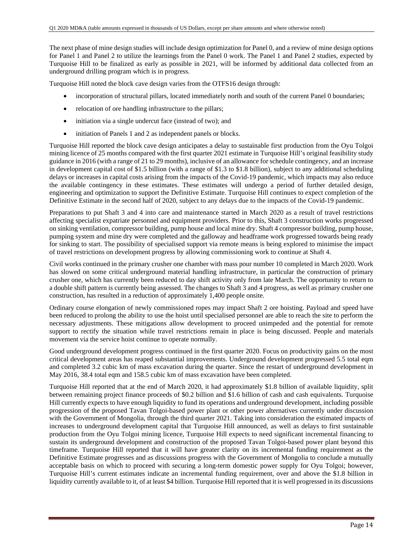The next phase of mine design studies will include design optimization for Panel 0, and a review of mine design options for Panel 1 and Panel 2 to utilize the learnings from the Panel 0 work. The Panel 1 and Panel 2 studies, expected by Turquoise Hill to be finalized as early as possible in 2021, will be informed by additional data collected from an underground drilling program which is in progress.

Turquoise Hill noted the block cave design varies from the OTFS16 design through:

- incorporation of structural pillars, located immediately north and south of the current Panel 0 boundaries;
- relocation of ore handling infrastructure to the pillars;
- initiation via a single undercut face (instead of two); and
- initiation of Panels 1 and 2 as independent panels or blocks.

Turquoise Hill reported the block cave design anticipates a delay to sustainable first production from the Oyu Tolgoi mining licence of 25 months compared with the first quarter 2021 estimate in Turquoise Hill's original feasibility study guidance in 2016 (with a range of 21 to 29 months), inclusive of an allowance for schedule contingency, and an increase in development capital cost of \$1.5 billion (with a range of \$1.3 to \$1.8 billion), subject to any additional scheduling delays or increases in capital costs arising from the impacts of the Covid-19 pandemic, which impacts may also reduce the available contingency in these estimates. These estimates will undergo a period of further detailed design, engineering and optimization to support the Definitive Estimate. Turquoise Hill continues to expect completion of the Definitive Estimate in the second half of 2020, subject to any delays due to the impacts of the Covid-19 pandemic.

Preparations to put Shaft 3 and 4 into care and maintenance started in March 2020 as a result of travel restrictions affecting specialist expatriate personnel and equipment providers. Prior to this, Shaft 3 construction works progressed on sinking ventilation, compressor building, pump house and local mine dry. Shaft 4 compressor building, pump house, pumping system and mine dry were completed and the galloway and headframe work progressed towards being ready for sinking to start. The possibility of specialised support via remote means is being explored to minimise the impact of travel restrictions on development progress by allowing commissioning work to continue at Shaft 4.

Civil works continued in the primary crusher one chamber with mass pour number 10 completed in March 2020. Work has slowed on some critical underground material handling infrastructure, in particular the construction of primary crusher one, which has currently been reduced to day shift activity only from late March. The opportunity to return to a double shift pattern is currently being assessed. The changes to Shaft 3 and 4 progress, as well as primary crusher one construction, has resulted in a reduction of approximately 1,400 people onsite.

Ordinary course elongation of newly commissioned ropes may impact Shaft 2 ore hoisting. Payload and speed have been reduced to prolong the ability to use the hoist until specialised personnel are able to reach the site to perform the necessary adjustments. These mitigations allow development to proceed unimpeded and the potential for remote support to rectify the situation while travel restrictions remain in place is being discussed. People and materials movement via the service hoist continue to operate normally.

Good underground development progress continued in the first quarter 2020. Focus on productivity gains on the most critical development areas has reaped substantial improvements. Underground development progressed 5.5 total eqm and completed 3.2 cubic km of mass excavation during the quarter. Since the restart of underground development in May 2016, 38.4 total eqm and 158.5 cubic km of mass excavation have been completed.

Turquoise Hill reported that at the end of March 2020, it had approximately \$1.8 billion of available liquidity, split between remaining project finance proceeds of \$0.2 billion and \$1.6 billion of cash and cash equivalents. Turquoise Hill currently expects to have enough liquidity to fund its operations and underground development, including possible progression of the proposed Tavan Tolgoi-based power plant or other power alternatives currently under discussion with the Government of Mongolia, through the third quarter 2021. Taking into consideration the estimated impacts of increases to underground development capital that Turquoise Hill announced, as well as delays to first sustainable production from the Oyu Tolgoi mining licence, Turquoise Hill expects to need significant incremental financing to sustain its underground development and construction of the proposed Tavan Tolgoi-based power plant beyond this timeframe. Turquoise Hill reported that it will have greater clarity on its incremental funding requirement as the Definitive Estimate progresses and as discussions progress with the Government of Mongolia to conclude a mutually acceptable basis on which to proceed with securing a long-term domestic power supply for Oyu Tolgoi; however, Turquoise Hill's current estimates indicate an incremental funding requirement, over and above the \$1.8 billion in liquidity currently available to it, of at least \$4 billion. Turquoise Hill reported that it is well progressed in its discussions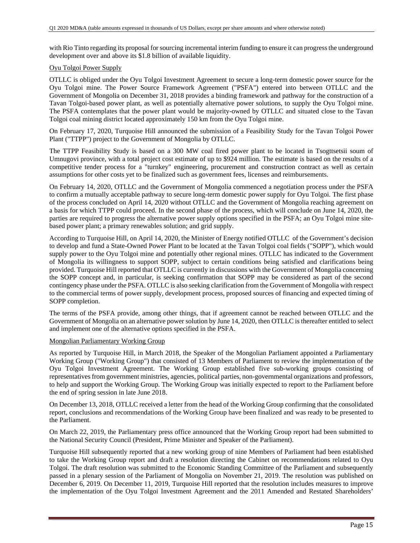with Rio Tinto regarding its proposal for sourcing incremental interim funding to ensure it can progress the underground development over and above its \$1.8 billion of available liquidity.

### Oyu Tolgoi Power Supply

OTLLC is obliged under the Oyu Tolgoi Investment Agreement to secure a long-term domestic power source for the Oyu Tolgoi mine. The Power Source Framework Agreement ("PSFA") entered into between OTLLC and the Government of Mongolia on December 31, 2018 provides a binding framework and pathway for the construction of a Tavan Tolgoi-based power plant, as well as potentially alternative power solutions, to supply the Oyu Tolgoi mine. The PSFA contemplates that the power plant would be majority-owned by OTLLC and situated close to the Tavan Tolgoi coal mining district located approximately 150 km from the Oyu Tolgoi mine.

On February 17, 2020, Turquoise Hill announced the submission of a Feasibility Study for the Tavan Tolgoi Power Plant ("TTPP") project to the Government of Mongolia by OTLLC.

The TTPP Feasibility Study is based on a 300 MW coal fired power plant to be located in Tsogttsetsii soum of Umnugovi province, with a total project cost estimate of up to \$924 million. The estimate is based on the results of a competitive tender process for a "turnkey" engineering, procurement and construction contract as well as certain assumptions for other costs yet to be finalized such as government fees, licenses and reimbursements.

On February 14, 2020, OTLLC and the Government of Mongolia commenced a negotiation process under the PSFA to confirm a mutually acceptable pathway to secure long-term domestic power supply for Oyu Tolgoi. The first phase of the process concluded on April 14, 2020 without OTLLC and the Government of Mongolia reaching agreement on a basis for which TTPP could proceed. In the second phase of the process, which will conclude on June 14, 2020, the parties are required to progress the alternative power supply options specified in the PSFA; an Oyu Tolgoi mine sitebased power plant; a primary renewables solution; and grid supply.

According to Turquoise Hill, on April 14, 2020, the Minister of Energy notified OTLLC of the Government's decision to develop and fund a State-Owned Power Plant to be located at the Tavan Tolgoi coal fields ("SOPP"), which would supply power to the Oyu Tolgoi mine and potentially other regional mines. OTLLC has indicated to the Government of Mongolia its willingness to support SOPP, subject to certain conditions being satisfied and clarifications being provided. Turquoise Hill reported that OTLLC is currently in discussions with the Government of Mongolia concerning the SOPP concept and, in particular, is seeking confirmation that SOPP may be considered as part of the second contingency phase under the PSFA. OTLLC is also seeking clarification from the Government of Mongolia with respect to the commercial terms of power supply, development process, proposed sources of financing and expected timing of SOPP completion.

The terms of the PSFA provide, among other things, that if agreement cannot be reached between OTLLC and the Government of Mongolia on an alternative power solution by June 14, 2020, then OTLLC is thereafter entitled to select and implement one of the alternative options specified in the PSFA.

### Mongolian Parliamentary Working Group

As reported by Turquoise Hill, in March 2018, the Speaker of the Mongolian Parliament appointed a Parliamentary Working Group ("Working Group") that consisted of 13 Members of Parliament to review the implementation of the Oyu Tolgoi Investment Agreement. The Working Group established five sub-working groups consisting of representatives from government ministries, agencies, political parties, non-governmental organizations and professors, to help and support the Working Group. The Working Group was initially expected to report to the Parliament before the end of spring session in late June 2018.

On December 13, 2018, OTLLC received a letter from the head of the Working Group confirming that the consolidated report, conclusions and recommendations of the Working Group have been finalized and was ready to be presented to the Parliament.

On March 22, 2019, the Parliamentary press office announced that the Working Group report had been submitted to the National Security Council (President, Prime Minister and Speaker of the Parliament).

Turquoise Hill subsequently reported that a new working group of nine Members of Parliament had been established to take the Working Group report and draft a resolution directing the Cabinet on recommendations related to Oyu Tolgoi. The draft resolution was submitted to the Economic Standing Committee of the Parliament and subsequently passed in a plenary session of the Parliament of Mongolia on November 21, 2019. The resolution was published on December 6, 2019. On December 11, 2019, Turquoise Hill reported that the resolution includes measures to improve the implementation of the Oyu Tolgoi Investment Agreement and the 2011 Amended and Restated Shareholders'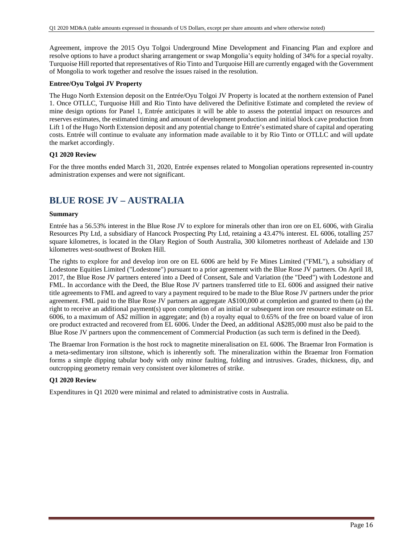Agreement, improve the 2015 Oyu Tolgoi Underground Mine Development and Financing Plan and explore and resolve options to have a product sharing arrangement or swap Mongolia's equity holding of 34% for a special royalty. Turquoise Hill reported that representatives of Rio Tinto and Turquoise Hill are currently engaged with the Government of Mongolia to work together and resolve the issues raised in the resolution.

## **Entree/Oyu Tolgoi JV Property**

The Hugo North Extension deposit on the Entrée/Oyu Tolgoi JV Property is located at the northern extension of Panel 1. Once OTLLC, Turquoise Hill and Rio Tinto have delivered the Definitive Estimate and completed the review of mine design options for Panel 1, Entrée anticipates it will be able to assess the potential impact on resources and reserves estimates, the estimated timing and amount of development production and initial block cave production from Lift 1 of the Hugo North Extension deposit and any potential change to Entrée's estimated share of capital and operating costs. Entrée will continue to evaluate any information made available to it by Rio Tinto or OTLLC and will update the market accordingly.

### **Q1 2020 Review**

For the three months ended March 31, 2020, Entrée expenses related to Mongolian operations represented in-country administration expenses and were not significant.

# **BLUE ROSE JV – AUSTRALIA**

### **Summary**

Entrée has a 56.53% interest in the Blue Rose JV to explore for minerals other than iron ore on EL 6006, with Giralia Resources Pty Ltd, a subsidiary of Hancock Prospecting Pty Ltd, retaining a 43.47% interest. EL 6006, totalling 257 square kilometres, is located in the Olary Region of South Australia, 300 kilometres northeast of Adelaide and 130 kilometres west-southwest of Broken Hill.

The rights to explore for and develop iron ore on EL 6006 are held by Fe Mines Limited ("FML"), a subsidiary of Lodestone Equities Limited ("Lodestone") pursuant to a prior agreement with the Blue Rose JV partners. On April 18, 2017, the Blue Rose JV partners entered into a Deed of Consent, Sale and Variation (the "Deed") with Lodestone and FML. In accordance with the Deed, the Blue Rose JV partners transferred title to EL 6006 and assigned their native title agreements to FML and agreed to vary a payment required to be made to the Blue Rose JV partners under the prior agreement. FML paid to the Blue Rose JV partners an aggregate A\$100,000 at completion and granted to them (a) the right to receive an additional payment(s) upon completion of an initial or subsequent iron ore resource estimate on EL 6006, to a maximum of A\$2 million in aggregate; and (b) a royalty equal to 0.65% of the free on board value of iron ore product extracted and recovered from EL 6006. Under the Deed, an additional A\$285,000 must also be paid to the Blue Rose JV partners upon the commencement of Commercial Production (as such term is defined in the Deed).

The Braemar Iron Formation is the host rock to magnetite mineralisation on EL 6006. The Braemar Iron Formation is a meta-sedimentary iron siltstone, which is inherently soft. The mineralization within the Braemar Iron Formation forms a simple dipping tabular body with only minor faulting, folding and intrusives. Grades, thickness, dip, and outcropping geometry remain very consistent over kilometres of strike.

## **Q1 2020 Review**

Expenditures in Q1 2020 were minimal and related to administrative costs in Australia.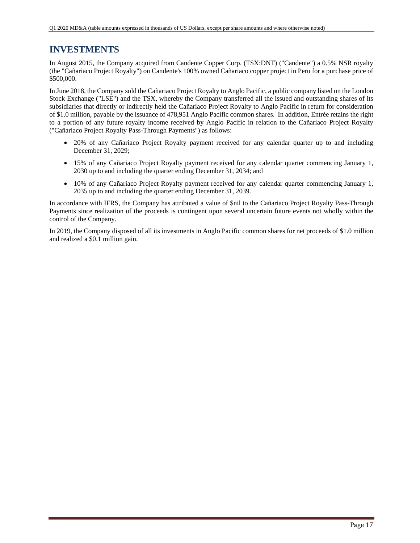# **INVESTMENTS**

In August 2015, the Company acquired from Candente Copper Corp. (TSX:DNT) ("Candente") a 0.5% NSR royalty (the "Cañariaco Project Royalty") on Candente's 100% owned Cañariaco copper project in Peru for a purchase price of \$500,000.

In June 2018, the Company sold the Cañariaco Project Royalty to Anglo Pacific, a public company listed on the London Stock Exchange ("LSE") and the TSX, whereby the Company transferred all the issued and outstanding shares of its subsidiaries that directly or indirectly held the Cañariaco Project Royalty to Anglo Pacific in return for consideration of \$1.0 million, payable by the issuance of 478,951 Anglo Pacific common shares. In addition, Entrée retains the right to a portion of any future royalty income received by Anglo Pacific in relation to the Cañariaco Project Royalty ("Cañariaco Project Royalty Pass-Through Payments") as follows:

- 20% of any Cañariaco Project Royalty payment received for any calendar quarter up to and including December 31, 2029;
- 15% of any Cañariaco Project Royalty payment received for any calendar quarter commencing January 1, 2030 up to and including the quarter ending December 31, 2034; and
- 10% of any Cañariaco Project Royalty payment received for any calendar quarter commencing January 1, 2035 up to and including the quarter ending December 31, 2039.

In accordance with IFRS, the Company has attributed a value of \$nil to the Cañariaco Project Royalty Pass-Through Payments since realization of the proceeds is contingent upon several uncertain future events not wholly within the control of the Company.

In 2019, the Company disposed of all its investments in Anglo Pacific common shares for net proceeds of \$1.0 million and realized a \$0.1 million gain.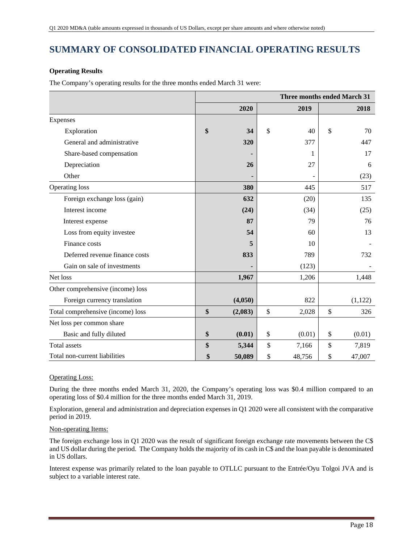# **SUMMARY OF CONSOLIDATED FINANCIAL OPERATING RESULTS**

## **Operating Results**

The Company's operating results for the three months ended March 31 were:

|                                   |               | <b>Three months ended March 31</b> |    |         |  |  |  |
|-----------------------------------|---------------|------------------------------------|----|---------|--|--|--|
|                                   | 2020          | 2019                               |    | 2018    |  |  |  |
| Expenses                          |               |                                    |    |         |  |  |  |
| Exploration                       | \$<br>34      | \$<br>40                           | \$ | 70      |  |  |  |
| General and administrative        | 320           | 377                                |    | 447     |  |  |  |
| Share-based compensation          |               | 1                                  |    | 17      |  |  |  |
| Depreciation                      | 26            | 27                                 |    | 6       |  |  |  |
| Other                             |               |                                    |    | (23)    |  |  |  |
| Operating loss                    | 380           | 445                                |    | 517     |  |  |  |
| Foreign exchange loss (gain)      | 632           | (20)                               |    | 135     |  |  |  |
| Interest income                   | (24)          | (34)                               |    | (25)    |  |  |  |
| Interest expense                  | 87            | 79                                 |    | 76      |  |  |  |
| Loss from equity investee         | 54            | 60                                 |    | 13      |  |  |  |
| Finance costs                     | 5             | 10                                 |    |         |  |  |  |
| Deferred revenue finance costs    | 833           | 789                                |    | 732     |  |  |  |
| Gain on sale of investments       |               | (123)                              |    |         |  |  |  |
| Net loss                          | 1,967         | 1,206                              |    | 1,448   |  |  |  |
| Other comprehensive (income) loss |               |                                    |    |         |  |  |  |
| Foreign currency translation      | (4,050)       | 822                                |    | (1,122) |  |  |  |
| Total comprehensive (income) loss | \$<br>(2,083) | \$<br>2,028                        | \$ | 326     |  |  |  |
| Net loss per common share         |               |                                    |    |         |  |  |  |
| Basic and fully diluted           | \$<br>(0.01)  | \$<br>(0.01)                       | \$ | (0.01)  |  |  |  |
| <b>Total assets</b>               | \$<br>5,344   | \$<br>7,166                        | \$ | 7,819   |  |  |  |
| Total non-current liabilities     | \$<br>50,089  | \$<br>48,756                       | \$ | 47,007  |  |  |  |

## Operating Loss:

During the three months ended March 31, 2020, the Company's operating loss was \$0.4 million compared to an operating loss of \$0.4 million for the three months ended March 31, 2019.

Exploration, general and administration and depreciation expenses in Q1 2020 were all consistent with the comparative period in 2019.

## Non-operating Items:

The foreign exchange loss in Q1 2020 was the result of significant foreign exchange rate movements between the C\$ and US dollar during the period. The Company holds the majority of its cash in C\$ and the loan payable is denominated in US dollars.

Interest expense was primarily related to the loan payable to OTLLC pursuant to the Entrée/Oyu Tolgoi JVA and is subject to a variable interest rate.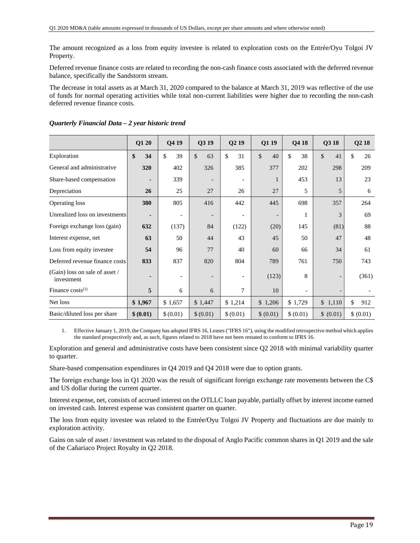The amount recognized as a loss from equity investee is related to exploration costs on the Entrée/Oyu Tolgoi JV Property.

Deferred revenue finance costs are related to recording the non-cash finance costs associated with the deferred revenue balance, specifically the Sandstorm stream.

The decrease in total assets as at March 31, 2020 compared to the balance at March 31, 2019 was reflective of the use of funds for normal operating activities while total non-current liabilities were higher due to recording the non-cash deferred revenue finance costs.

|                                              | Q1 20          | Q4 19                    | Q3 19                    | Q <sub>2</sub> 19        | Q1 19                    | Q4 18          | Q3 18     | Q <sub>2</sub> 18 |
|----------------------------------------------|----------------|--------------------------|--------------------------|--------------------------|--------------------------|----------------|-----------|-------------------|
| Exploration                                  | 34<br>\$       | \$<br>39                 | \$<br>63                 | \$<br>31                 | \$<br>40                 | \$<br>38       | \$<br>41  | \$<br>26          |
| General and administrative                   | 320            | 402                      | 326                      | 385                      | 377                      | 202            | 298       | 209               |
| Share-based compensation                     |                | 339                      | $\overline{\phantom{0}}$ |                          | 1                        | 453            | 13        | 23                |
| Depreciation                                 | 26             | 25                       | 27                       | 26                       | 27                       | 5              | 5         | 6                 |
| Operating loss                               | 380            | 805                      | 416                      | 442                      | 445                      | 698            | 357       | 264               |
| Unrealized loss on investments               | $\blacksquare$ | $\overline{\phantom{a}}$ | $\overline{\phantom{0}}$ | $\overline{\phantom{a}}$ | $\overline{\phantom{a}}$ |                | 3         | 69                |
| Foreign exchange loss (gain)                 | 632            | (137)                    | 84                       | (122)                    | (20)                     | 145            | (81)      | 88                |
| Interest expense, net                        | 63             | 50                       | 44                       | 43                       | 45                       | 50             | 47        | 48                |
| Loss from equity investee                    | 54             | 96                       | 77                       | 40                       | 60                       | 66             | 34        | 61                |
| Deferred revenue finance costs               | 833            | 837                      | 820                      | 804                      | 789                      | 761            | 750       | 743               |
| (Gain) loss on sale of asset /<br>investment |                | $\overline{\phantom{a}}$ |                          |                          | (123)                    | 8              |           | (361)             |
| Finance $costs^{(1)}$                        | 5              | 6                        | 6                        | $\overline{7}$           | 10                       | $\blacksquare$ |           |                   |
| Net loss                                     | \$1,967        | \$1,657                  | \$1,447                  | \$1,214                  | \$1,206                  | \$1,729        | \$1,110   | \$<br>912         |
| Basic/diluted loss per share                 | \$ (0.01)      | \$ (0.01)                | \$ (0.01)                | \$ (0.01)                | \$ (0.01)                | \$ (0.01)      | \$ (0.01) | \$ (0.01)         |

## *Quarterly Financial Data – 2 year historic trend*

1. Effective January 1, 2019, the Company has adopted IFRS 16, Leases ("IFRS 16"), using the modified retrospective method which applies the standard prospectively and, as such, figures related to 2018 have not been restated to conform to IFRS 16.

Exploration and general and administrative costs have been consistent since Q2 2018 with minimal variability quarter to quarter.

Share-based compensation expenditures in Q4 2019 and Q4 2018 were due to option grants.

The foreign exchange loss in Q1 2020 was the result of significant foreign exchange rate movements between the C\$ and US dollar during the current quarter.

Interest expense, net, consists of accrued interest on the OTLLC loan payable, partially offset by interest income earned on invested cash. Interest expense was consistent quarter on quarter.

The loss from equity investee was related to the Entrée/Oyu Tolgoi JV Property and fluctuations are due mainly to exploration activity.

Gains on sale of asset / investment was related to the disposal of Anglo Pacific common shares in Q1 2019 and the sale of the Cañariaco Project Royalty in Q2 2018.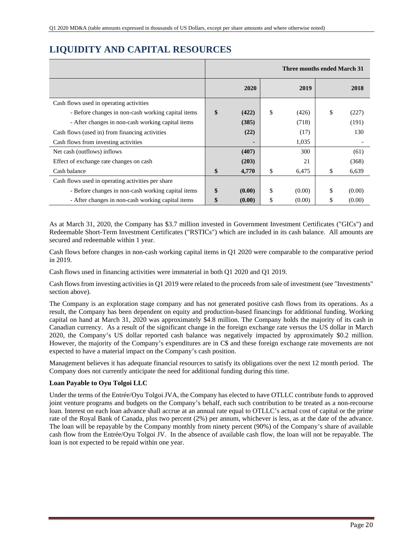# **LIQUIDITY AND CAPITAL RESOURCES**

|                                                    |              | Three months ended March 31 |              |
|----------------------------------------------------|--------------|-----------------------------|--------------|
|                                                    | 2020         | 2019                        | 2018         |
| Cash flows used in operating activities            |              |                             |              |
| - Before changes in non-cash working capital items | \$<br>(422)  | \$<br>(426)                 | \$<br>(227)  |
| - After changes in non-cash working capital items  | (385)        | (718)                       | (191)        |
| Cash flows (used in) from financing activities     | (22)         | (17)                        | 130          |
| Cash flows from investing activities               |              | 1,035                       |              |
| Net cash (outflows) inflows                        | (407)        | 300                         | (61)         |
| Effect of exchange rate changes on cash            | (203)        | 21                          | (368)        |
| Cash balance                                       | \$<br>4,770  | \$<br>6,475                 | \$<br>6,639  |
| Cash flows used in operating activities per share  |              |                             |              |
| - Before changes in non-cash working capital items | \$<br>(0.00) | \$<br>(0.00)                | \$<br>(0.00) |
| - After changes in non-cash working capital items  | \$<br>(0.00) | \$<br>(0.00)                | \$<br>(0.00) |

As at March 31, 2020, the Company has \$3.7 million invested in Government Investment Certificates ("GICs") and Redeemable Short-Term Investment Certificates ("RSTICs") which are included in its cash balance. All amounts are secured and redeemable within 1 year.

Cash flows before changes in non-cash working capital items in Q1 2020 were comparable to the comparative period in 2019.

Cash flows used in financing activities were immaterial in both Q1 2020 and Q1 2019.

Cash flows from investing activities in Q1 2019 were related to the proceeds from sale of investment (see "Investments" section above).

The Company is an exploration stage company and has not generated positive cash flows from its operations. As a result, the Company has been dependent on equity and production-based financings for additional funding. Working capital on hand at March 31, 2020 was approximately \$4.8 million. The Company holds the majority of its cash in Canadian currency. As a result of the significant change in the foreign exchange rate versus the US dollar in March 2020, the Company's US dollar reported cash balance was negatively impacted by approximately \$0.2 million. However, the majority of the Company's expenditures are in C\$ and these foreign exchange rate movements are not expected to have a material impact on the Company's cash position.

Management believes it has adequate financial resources to satisfy its obligations over the next 12 month period. The Company does not currently anticipate the need for additional funding during this time.

## **Loan Payable to Oyu Tolgoi LLC**

Under the terms of the Entrée/Oyu Tolgoi JVA, the Company has elected to have OTLLC contribute funds to approved joint venture programs and budgets on the Company's behalf, each such contribution to be treated as a non-recourse loan. Interest on each loan advance shall accrue at an annual rate equal to OTLLC's actual cost of capital or the prime rate of the Royal Bank of Canada, plus two percent (2%) per annum, whichever is less, as at the date of the advance. The loan will be repayable by the Company monthly from ninety percent (90%) of the Company's share of available cash flow from the Entrée/Oyu Tolgoi JV. In the absence of available cash flow, the loan will not be repayable. The loan is not expected to be repaid within one year.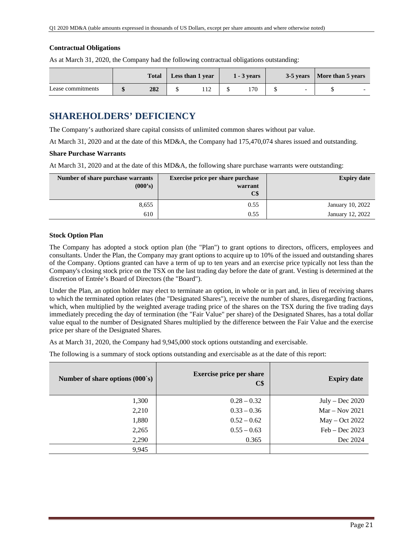## **Contractual Obligations**

As at March 31, 2020, the Company had the following contractual obligations outstanding:

|                   | <b>Total</b> | Less than 1 year | $1 - 3$ years |                          | 3-5 years   More than 5 years |  |
|-------------------|--------------|------------------|---------------|--------------------------|-------------------------------|--|
| Lease commitments | 282          |                  |               | $\overline{\phantom{0}}$ |                               |  |

# **SHAREHOLDERS' DEFICIENCY**

The Company's authorized share capital consists of unlimited common shares without par value.

At March 31, 2020 and at the date of this MD&A, the Company had 175,470,074 shares issued and outstanding.

### **Share Purchase Warrants**

At March 31, 2020 and at the date of this MD&A, the following share purchase warrants were outstanding:

| Number of share purchase warrants<br>(000's) | <b>Exercise price per share purchase</b><br>warrant<br>C\$ | <b>Expiry date</b> |
|----------------------------------------------|------------------------------------------------------------|--------------------|
| 8,655                                        | 0.55                                                       | January 10, 2022   |
| 610                                          | 0.55                                                       | January 12, 2022   |

### **Stock Option Plan**

The Company has adopted a stock option plan (the "Plan") to grant options to directors, officers, employees and consultants. Under the Plan, the Company may grant options to acquire up to 10% of the issued and outstanding shares of the Company. Options granted can have a term of up to ten years and an exercise price typically not less than the Company's closing stock price on the TSX on the last trading day before the date of grant. Vesting is determined at the discretion of Entrée's Board of Directors (the "Board").

Under the Plan, an option holder may elect to terminate an option, in whole or in part and, in lieu of receiving shares to which the terminated option relates (the "Designated Shares"), receive the number of shares, disregarding fractions, which, when multiplied by the weighted average trading price of the shares on the TSX during the five trading days immediately preceding the day of termination (the "Fair Value" per share) of the Designated Shares, has a total dollar value equal to the number of Designated Shares multiplied by the difference between the Fair Value and the exercise price per share of the Designated Shares.

As at March 31, 2020, the Company had 9,945,000 stock options outstanding and exercisable.

The following is a summary of stock options outstanding and exercisable as at the date of this report:

| Number of share options $(000 \text{ s})$ | <b>Exercise price per share</b><br>$\mathbf{C}\$$ | <b>Expiry date</b> |
|-------------------------------------------|---------------------------------------------------|--------------------|
| 1,300                                     | $0.28 - 0.32$                                     | $July - Dec 2020$  |
| 2,210                                     | $0.33 - 0.36$                                     | $Mar - Nov 2021$   |
| 1,880                                     | $0.52 - 0.62$                                     | May – Oct 2022     |
| 2,265                                     | $0.55 - 0.63$                                     | $Feb - Dec 2023$   |
| 2,290                                     | 0.365                                             | Dec 2024           |
| 9,945                                     |                                                   |                    |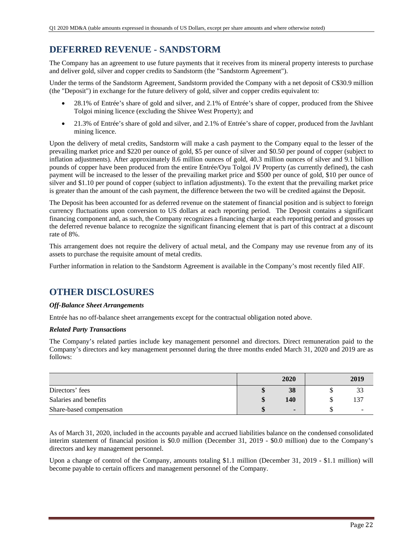# **DEFERRED REVENUE - SANDSTORM**

The Company has an agreement to use future payments that it receives from its mineral property interests to purchase and deliver gold, silver and copper credits to Sandstorm (the "Sandstorm Agreement").

Under the terms of the Sandstorm Agreement, Sandstorm provided the Company with a net deposit of C\$30.9 million (the "Deposit") in exchange for the future delivery of gold, silver and copper credits equivalent to:

- 28.1% of Entrée's share of gold and silver, and 2.1% of Entrée's share of copper, produced from the Shivee Tolgoi mining licence (excluding the Shivee West Property); and
- 21.3% of Entrée's share of gold and silver, and 2.1% of Entrée's share of copper, produced from the Javhlant mining licence.

Upon the delivery of metal credits, Sandstorm will make a cash payment to the Company equal to the lesser of the prevailing market price and \$220 per ounce of gold, \$5 per ounce of silver and \$0.50 per pound of copper (subject to inflation adjustments). After approximately 8.6 million ounces of gold, 40.3 million ounces of silver and 9.1 billion pounds of copper have been produced from the entire Entrée/Oyu Tolgoi JV Property (as currently defined), the cash payment will be increased to the lesser of the prevailing market price and \$500 per ounce of gold, \$10 per ounce of silver and \$1.10 per pound of copper (subject to inflation adjustments). To the extent that the prevailing market price is greater than the amount of the cash payment, the difference between the two will be credited against the Deposit.

The Deposit has been accounted for as deferred revenue on the statement of financial position and is subject to foreign currency fluctuations upon conversion to US dollars at each reporting period. The Deposit contains a significant financing component and, as such, the Company recognizes a financing charge at each reporting period and grosses up the deferred revenue balance to recognize the significant financing element that is part of this contract at a discount rate of 8%.

This arrangement does not require the delivery of actual metal, and the Company may use revenue from any of its assets to purchase the requisite amount of metal credits.

Further information in relation to the Sandstorm Agreement is available in the Company's most recently filed AIF.

# **OTHER DISCLOSURES**

## *Off-Balance Sheet Arrangements*

Entrée has no off-balance sheet arrangements except for the contractual obligation noted above.

## *Related Party Transactions*

The Company's related parties include key management personnel and directors. Direct remuneration paid to the Company's directors and key management personnel during the three months ended March 31, 2020 and 2019 are as follows:

|                          |          | 2020           | 2019 |
|--------------------------|----------|----------------|------|
| Directors' fees          | ۱D       | 38             |      |
| Salaries and benefits    | ¢<br>ъD. | 140            | 37ء  |
| Share-based compensation |          | $\blacksquare$ |      |

As of March 31, 2020, included in the accounts payable and accrued liabilities balance on the condensed consolidated interim statement of financial position is \$0.0 million (December 31, 2019 - \$0.0 million) due to the Company's directors and key management personnel.

Upon a change of control of the Company, amounts totaling \$1.1 million (December 31, 2019 - \$1.1 million) will become payable to certain officers and management personnel of the Company.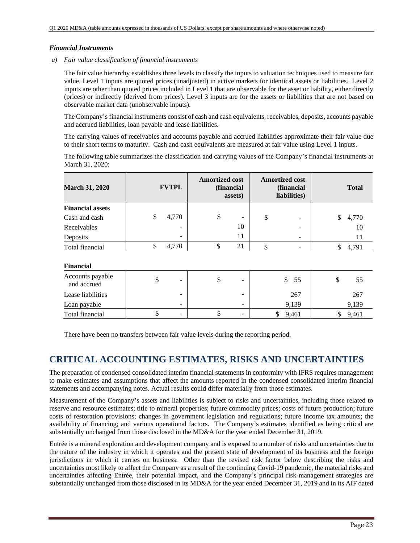### *Financial Instruments*

*a) Fair value classification of financial instruments* 

The fair value hierarchy establishes three levels to classify the inputs to valuation techniques used to measure fair value. Level 1 inputs are quoted prices (unadjusted) in active markets for identical assets or liabilities. Level 2 inputs are other than quoted prices included in Level 1 that are observable for the asset or liability, either directly (prices) or indirectly (derived from prices). Level 3 inputs are for the assets or liabilities that are not based on observable market data (unobservable inputs).

The Company's financial instruments consist of cash and cash equivalents, receivables, deposits, accounts payable and accrued liabilities, loan payable and lease liabilities.

The carrying values of receivables and accounts payable and accrued liabilities approximate their fair value due to their short terms to maturity. Cash and cash equivalents are measured at fair value using Level 1 inputs.

The following table summarizes the classification and carrying values of the Company's financial instruments at March 31, 2020:

| <b>March 31, 2020</b>   | <b>FVTPL</b>             | <b>Amortized cost</b> | (financial<br>assets) | <b>Amortized cost</b><br>(financial<br>liabilities) |   | <b>Total</b> |
|-------------------------|--------------------------|-----------------------|-----------------------|-----------------------------------------------------|---|--------------|
| <b>Financial assets</b> |                          |                       |                       |                                                     |   |              |
| Cash and cash           | \$<br>4,770              | \$                    |                       | \$<br>۰                                             | S | 4,770        |
| Receivables             | -                        |                       | 10                    |                                                     |   | 10           |
| Deposits                | $\overline{\phantom{0}}$ |                       | 11                    |                                                     |   |              |
| Total financial         | 4.770                    | D                     | 21                    |                                                     |   | 4,791        |

### **Financial**

| -----------                     |  |                          |  |                          |       |       |
|---------------------------------|--|--------------------------|--|--------------------------|-------|-------|
| Accounts payable<br>and accrued |  | -                        |  | $\overline{\phantom{0}}$ | 55    | 55    |
| Lease liabilities               |  | $\overline{\phantom{a}}$ |  | $-$                      | 267   | 267   |
| Loan payable                    |  | -                        |  |                          | 9.139 | 9,139 |
| Total financial                 |  | $\overline{\phantom{0}}$ |  | -                        | 9,461 | 9.461 |

There have been no transfers between fair value levels during the reporting period.

# **CRITICAL ACCOUNTING ESTIMATES, RISKS AND UNCERTAINTIES**

The preparation of condensed consolidated interim financial statements in conformity with IFRS requires management to make estimates and assumptions that affect the amounts reported in the condensed consolidated interim financial statements and accompanying notes. Actual results could differ materially from those estimates.

Measurement of the Company's assets and liabilities is subject to risks and uncertainties, including those related to reserve and resource estimates; title to mineral properties; future commodity prices; costs of future production; future costs of restoration provisions; changes in government legislation and regulations; future income tax amounts; the availability of financing; and various operational factors. The Company's estimates identified as being critical are substantially unchanged from those disclosed in the MD&A for the year ended December 31, 2019.

Entrée is a mineral exploration and development company and is exposed to a number of risks and uncertainties due to the nature of the industry in which it operates and the present state of development of its business and the foreign jurisdictions in which it carries on business. Other than the revised risk factor below describing the risks and uncertainties most likely to affect the Company as a result of the continuing Covid-19 pandemic, the material risks and uncertainties affecting Entrée, their potential impact, and the Company`s principal risk-management strategies are substantially unchanged from those disclosed in its MD&A for the year ended December 31, 2019 and in its AIF dated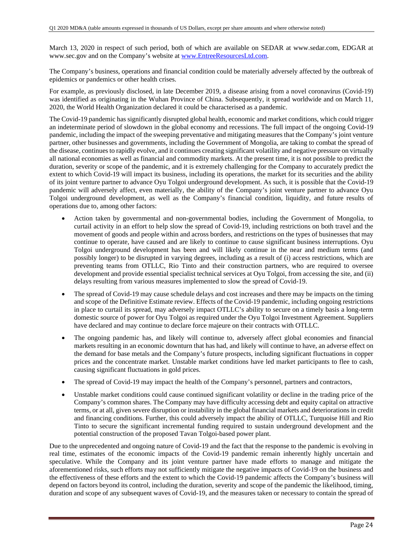March 13, 2020 in respect of such period, both of which are available on SEDAR at www.sedar.com, EDGAR at www.sec.gov and on the Company's website at www.EntreeResourcesLtd.com.

The Company's business, operations and financial condition could be materially adversely affected by the outbreak of epidemics or pandemics or other health crises.

For example, as previously disclosed, in late December 2019, a disease arising from a novel coronavirus (Covid-19) was identified as originating in the Wuhan Province of China. Subsequently, it spread worldwide and on March 11, 2020, the World Health Organization declared it could be characterised as a pandemic.

The Covid-19 pandemic has significantly disrupted global health, economic and market conditions, which could trigger an indeterminate period of slowdown in the global economy and recessions. The full impact of the ongoing Covid-19 pandemic, including the impact of the sweeping preventative and mitigating measures that the Company's joint venture partner, other businesses and governments, including the Government of Mongolia, are taking to combat the spread of the disease, continues to rapidly evolve, and it continues creating significant volatility and negative pressure on virtually all national economies as well as financial and commodity markets. At the present time, it is not possible to predict the duration, severity or scope of the pandemic, and it is extremely challenging for the Company to accurately predict the extent to which Covid-19 will impact its business, including its operations, the market for its securities and the ability of its joint venture partner to advance Oyu Tolgoi underground development. As such, it is possible that the Covid-19 pandemic will adversely affect, even materially, the ability of the Company's joint venture partner to advance Oyu Tolgoi underground development, as well as the Company's financial condition, liquidity, and future results of operations due to, among other factors:

- Action taken by governmental and non-governmental bodies, including the Government of Mongolia, to curtail activity in an effort to help slow the spread of Covid-19, including restrictions on both travel and the movement of goods and people within and across borders, and restrictions on the types of businesses that may continue to operate, have caused and are likely to continue to cause significant business interruptions. Oyu Tolgoi underground development has been and will likely continue in the near and medium terms (and possibly longer) to be disrupted in varying degrees, including as a result of (i) access restrictions, which are preventing teams from OTLLC, Rio Tinto and their construction partners, who are required to oversee development and provide essential specialist technical services at Oyu Tolgoi, from accessing the site, and (ii) delays resulting from various measures implemented to slow the spread of Covid-19.
- The spread of Covid-19 may cause schedule delays and cost increases and there may be impacts on the timing and scope of the Definitive Estimate review. Effects of the Covid-19 pandemic, including ongoing restrictions in place to curtail its spread, may adversely impact OTLLC's ability to secure on a timely basis a long-term domestic source of power for Oyu Tolgoi as required under the Oyu Tolgoi Investment Agreement. Suppliers have declared and may continue to declare force majeure on their contracts with OTLLC.
- The ongoing pandemic has, and likely will continue to, adversely affect global economies and financial markets resulting in an economic downturn that has had, and likely will continue to have, an adverse effect on the demand for base metals and the Company's future prospects, including significant fluctuations in copper prices and the concentrate market. Unstable market conditions have led market participants to flee to cash, causing significant fluctuations in gold prices.
- The spread of Covid-19 may impact the health of the Company's personnel, partners and contractors,
- Unstable market conditions could cause continued significant volatility or decline in the trading price of the Company's common shares. The Company may have difficulty accessing debt and equity capital on attractive terms, or at all, given severe disruption or instability in the global financial markets and deteriorations in credit and financing conditions. Further, this could adversely impact the ability of OTLLC, Turquoise Hill and Rio Tinto to secure the significant incremental funding required to sustain underground development and the potential construction of the proposed Tavan Tolgoi-based power plant.

Due to the unprecedented and ongoing nature of Covid-19 and the fact that the response to the pandemic is evolving in real time, estimates of the economic impacts of the Covid-19 pandemic remain inherently highly uncertain and speculative. While the Company and its joint venture partner have made efforts to manage and mitigate the aforementioned risks, such efforts may not sufficiently mitigate the negative impacts of Covid-19 on the business and the effectiveness of these efforts and the extent to which the Covid-19 pandemic affects the Company's business will depend on factors beyond its control, including the duration, severity and scope of the pandemic the likelihood, timing, duration and scope of any subsequent waves of Covid-19, and the measures taken or necessary to contain the spread of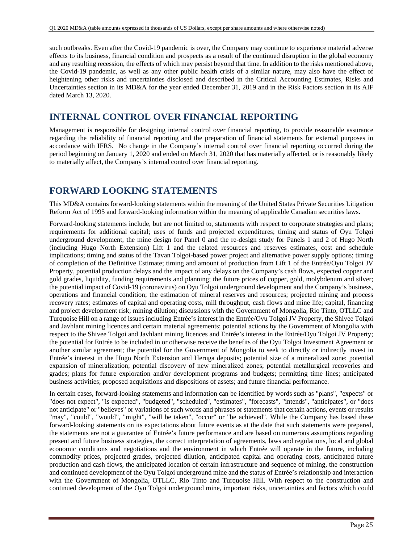such outbreaks. Even after the Covid-19 pandemic is over, the Company may continue to experience material adverse effects to its business, financial condition and prospects as a result of the continued disruption in the global economy and any resulting recession, the effects of which may persist beyond that time. In addition to the risks mentioned above, the Covid-19 pandemic, as well as any other public health crisis of a similar nature, may also have the effect of heightening other risks and uncertainties disclosed and described in the Critical Accounting Estimates, Risks and Uncertainties section in its MD&A for the year ended December 31, 2019 and in the Risk Factors section in its AIF dated March 13, 2020.

# **INTERNAL CONTROL OVER FINANCIAL REPORTING**

Management is responsible for designing internal control over financial reporting, to provide reasonable assurance regarding the reliability of financial reporting and the preparation of financial statements for external purposes in accordance with IFRS. No change in the Company's internal control over financial reporting occurred during the period beginning on January 1, 2020 and ended on March 31, 2020 that has materially affected, or is reasonably likely to materially affect, the Company's internal control over financial reporting.

# **FORWARD LOOKING STATEMENTS**

This MD&A contains forward-looking statements within the meaning of the United States Private Securities Litigation Reform Act of 1995 and forward-looking information within the meaning of applicable Canadian securities laws.

Forward-looking statements include, but are not limited to, statements with respect to corporate strategies and plans; requirements for additional capital; uses of funds and projected expenditures; timing and status of Oyu Tolgoi underground development, the mine design for Panel 0 and the re-design study for Panels 1 and 2 of Hugo North (including Hugo North Extension) Lift 1 and the related resources and reserves estimates, cost and schedule implications; timing and status of the Tavan Tolgoi-based power project and alternative power supply options; timing of completion of the Definitive Estimate; timing and amount of production from Lift 1 of the Entrée/Oyu Tolgoi JV Property, potential production delays and the impact of any delays on the Company's cash flows, expected copper and gold grades, liquidity, funding requirements and planning; the future prices of copper, gold, molybdenum and silver; the potential impact of Covid-19 (coronavirus) on Oyu Tolgoi underground development and the Company's business, operations and financial condition; the estimation of mineral reserves and resources; projected mining and process recovery rates; estimates of capital and operating costs, mill throughput, cash flows and mine life; capital, financing and project development risk; mining dilution; discussions with the Government of Mongolia, Rio Tinto, OTLLC and Turquoise Hill on a range of issues including Entrée's interest in the Entrée/Oyu Tolgoi JV Property, the Shivee Tolgoi and Javhlant mining licences and certain material agreements; potential actions by the Government of Mongolia with respect to the Shivee Tolgoi and Javhlant mining licences and Entrée's interest in the Entrée/Oyu Tolgoi JV Property; the potential for Entrée to be included in or otherwise receive the benefits of the Oyu Tolgoi Investment Agreement or another similar agreement; the potential for the Government of Mongolia to seek to directly or indirectly invest in Entrée's interest in the Hugo North Extension and Heruga deposits; potential size of a mineralized zone; potential expansion of mineralization; potential discovery of new mineralized zones; potential metallurgical recoveries and grades; plans for future exploration and/or development programs and budgets; permitting time lines; anticipated business activities; proposed acquisitions and dispositions of assets; and future financial performance.

In certain cases, forward-looking statements and information can be identified by words such as "plans", "expects" or "does not expect", "is expected", "budgeted", "scheduled", "estimates", "forecasts", "intends", "anticipates", or "does not anticipate" or "believes" or variations of such words and phrases or statements that certain actions, events or results "may", "could", "would", "might", "will be taken", "occur" or "be achieved". While the Company has based these forward-looking statements on its expectations about future events as at the date that such statements were prepared, the statements are not a guarantee of Entrée's future performance and are based on numerous assumptions regarding present and future business strategies, the correct interpretation of agreements, laws and regulations, local and global economic conditions and negotiations and the environment in which Entrée will operate in the future, including commodity prices, projected grades, projected dilution, anticipated capital and operating costs, anticipated future production and cash flows, the anticipated location of certain infrastructure and sequence of mining, the construction and continued development of the Oyu Tolgoi underground mine and the status of Entrée's relationship and interaction with the Government of Mongolia, OTLLC, Rio Tinto and Turquoise Hill. With respect to the construction and continued development of the Oyu Tolgoi underground mine, important risks, uncertainties and factors which could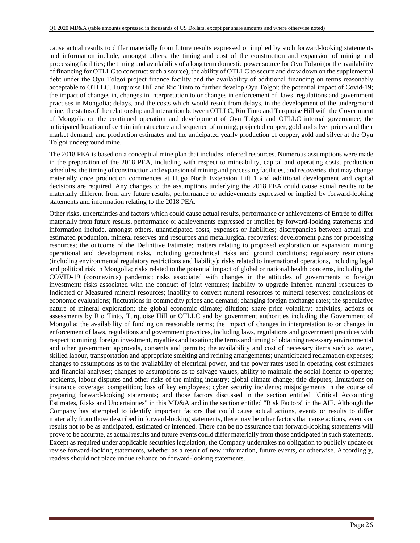cause actual results to differ materially from future results expressed or implied by such forward-looking statements and information include, amongst others, the timing and cost of the construction and expansion of mining and processing facilities; the timing and availability of a long term domestic power source for Oyu Tolgoi (or the availability of financing for OTLLC to construct such a source); the ability of OTLLC to secure and draw down on the supplemental debt under the Oyu Tolgoi project finance facility and the availability of additional financing on terms reasonably acceptable to OTLLC, Turquoise Hill and Rio Tinto to further develop Oyu Tolgoi; the potential impact of Covid-19; the impact of changes in, changes in interpretation to or changes in enforcement of, laws, regulations and government practises in Mongolia; delays, and the costs which would result from delays, in the development of the underground mine; the status of the relationship and interaction between OTLLC, Rio Tinto and Turquoise Hill with the Government of Mongolia on the continued operation and development of Oyu Tolgoi and OTLLC internal governance; the anticipated location of certain infrastructure and sequence of mining; projected copper, gold and silver prices and their market demand; and production estimates and the anticipated yearly production of copper, gold and silver at the Oyu Tolgoi underground mine.

The 2018 PEA is based on a conceptual mine plan that includes Inferred resources. Numerous assumptions were made in the preparation of the 2018 PEA, including with respect to mineability, capital and operating costs, production schedules, the timing of construction and expansion of mining and processing facilities, and recoveries, that may change materially once production commences at Hugo North Extension Lift 1 and additional development and capital decisions are required. Any changes to the assumptions underlying the 2018 PEA could cause actual results to be materially different from any future results, performance or achievements expressed or implied by forward-looking statements and information relating to the 2018 PEA.

Other risks, uncertainties and factors which could cause actual results, performance or achievements of Entrée to differ materially from future results, performance or achievements expressed or implied by forward-looking statements and information include, amongst others, unanticipated costs, expenses or liabilities; discrepancies between actual and estimated production, mineral reserves and resources and metallurgical recoveries; development plans for processing resources; the outcome of the Definitive Estimate; matters relating to proposed exploration or expansion; mining operational and development risks, including geotechnical risks and ground conditions; regulatory restrictions (including environmental regulatory restrictions and liability); risks related to international operations, including legal and political risk in Mongolia; risks related to the potential impact of global or national health concerns, including the COVID-19 (coronavirus) pandemic; risks associated with changes in the attitudes of governments to foreign investment; risks associated with the conduct of joint ventures; inability to upgrade Inferred mineral resources to Indicated or Measured mineral resources; inability to convert mineral resources to mineral reserves; conclusions of economic evaluations; fluctuations in commodity prices and demand; changing foreign exchange rates; the speculative nature of mineral exploration; the global economic climate; dilution; share price volatility; activities, actions or assessments by Rio Tinto, Turquoise Hill or OTLLC and by government authorities including the Government of Mongolia; the availability of funding on reasonable terms; the impact of changes in interpretation to or changes in enforcement of laws, regulations and government practices, including laws, regulations and government practices with respect to mining, foreign investment, royalties and taxation; the terms and timing of obtaining necessary environmental and other government approvals, consents and permits; the availability and cost of necessary items such as water, skilled labour, transportation and appropriate smelting and refining arrangements; unanticipated reclamation expenses; changes to assumptions as to the availability of electrical power, and the power rates used in operating cost estimates and financial analyses; changes to assumptions as to salvage values; ability to maintain the social licence to operate; accidents, labour disputes and other risks of the mining industry; global climate change; title disputes; limitations on insurance coverage; competition; loss of key employees; cyber security incidents; misjudgements in the course of preparing forward-looking statements; and those factors discussed in the section entitled "Critical Accounting Estimates, Risks and Uncertainties" in this MD&A and in the section entitled "Risk Factors" in the AIF. Although the Company has attempted to identify important factors that could cause actual actions, events or results to differ materially from those described in forward-looking statements, there may be other factors that cause actions, events or results not to be as anticipated, estimated or intended. There can be no assurance that forward-looking statements will prove to be accurate, as actual results and future events could differ materially from those anticipated in such statements. Except as required under applicable securities legislation, the Company undertakes no obligation to publicly update or revise forward-looking statements, whether as a result of new information, future events, or otherwise. Accordingly, readers should not place undue reliance on forward-looking statements.